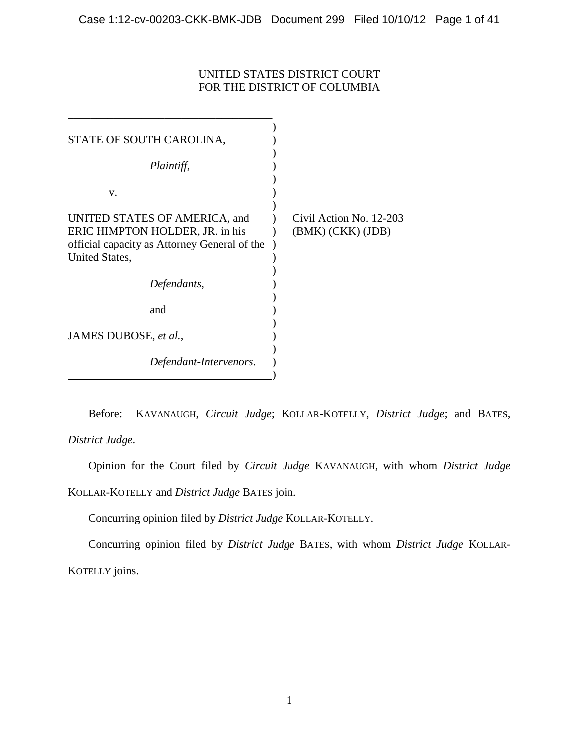# UNITED STATES DISTRICT COURT FOR THE DISTRICT OF COLUMBIA

| STATE OF SOUTH CAROLINA,                                                                                         |                                              |
|------------------------------------------------------------------------------------------------------------------|----------------------------------------------|
| Plaintiff,                                                                                                       |                                              |
| v.                                                                                                               |                                              |
| UNITED STATES OF AMERICA, and<br>ERIC HIMPTON HOLDER, JR. in his<br>official capacity as Attorney General of the | Civil Action No. 12-203<br>(BMK) (CKK) (JDB) |
| United States,                                                                                                   |                                              |
| Defendants,                                                                                                      |                                              |
| and                                                                                                              |                                              |
| JAMES DUBOSE, et al.,                                                                                            |                                              |
| Defendant-Intervenors.                                                                                           |                                              |
|                                                                                                                  |                                              |

Before: KAVANAUGH, *Circuit Judge*; KOLLAR-KOTELLY, *District Judge*; and BATES, *District Judge*.

Opinion for the Court filed by *Circuit Judge* KAVANAUGH, with whom *District Judge* KOLLAR-KOTELLY and *District Judge* BATES join.

Concurring opinion filed by *District Judge* KOLLAR-KOTELLY.

Concurring opinion filed by *District Judge* BATES, with whom *District Judge* KOLLAR-KOTELLY joins.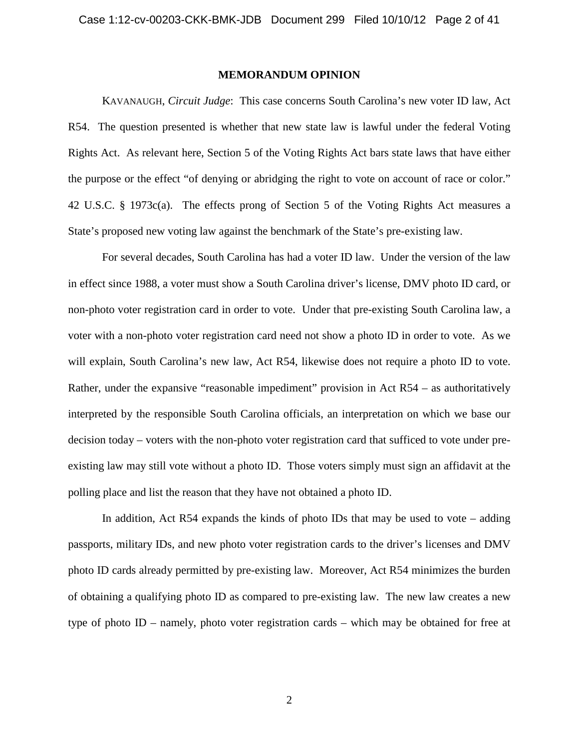# **MEMORANDUM OPINION**

KAVANAUGH, *Circuit Judge*: This case concerns South Carolina's new voter ID law, Act R54. The question presented is whether that new state law is lawful under the federal Voting Rights Act. As relevant here, Section 5 of the Voting Rights Act bars state laws that have either the purpose or the effect "of denying or abridging the right to vote on account of race or color." 42 U.S.C. § 1973c(a). The effects prong of Section 5 of the Voting Rights Act measures a State's proposed new voting law against the benchmark of the State's pre-existing law.

For several decades, South Carolina has had a voter ID law. Under the version of the law in effect since 1988, a voter must show a South Carolina driver's license, DMV photo ID card, or non-photo voter registration card in order to vote. Under that pre-existing South Carolina law, a voter with a non-photo voter registration card need not show a photo ID in order to vote. As we will explain, South Carolina's new law, Act R54, likewise does not require a photo ID to vote. Rather, under the expansive "reasonable impediment" provision in Act R54 – as authoritatively interpreted by the responsible South Carolina officials, an interpretation on which we base our decision today – voters with the non-photo voter registration card that sufficed to vote under preexisting law may still vote without a photo ID. Those voters simply must sign an affidavit at the polling place and list the reason that they have not obtained a photo ID.

In addition, Act R54 expands the kinds of photo IDs that may be used to vote – adding passports, military IDs, and new photo voter registration cards to the driver's licenses and DMV photo ID cards already permitted by pre-existing law. Moreover, Act R54 minimizes the burden of obtaining a qualifying photo ID as compared to pre-existing law. The new law creates a new type of photo ID – namely, photo voter registration cards – which may be obtained for free at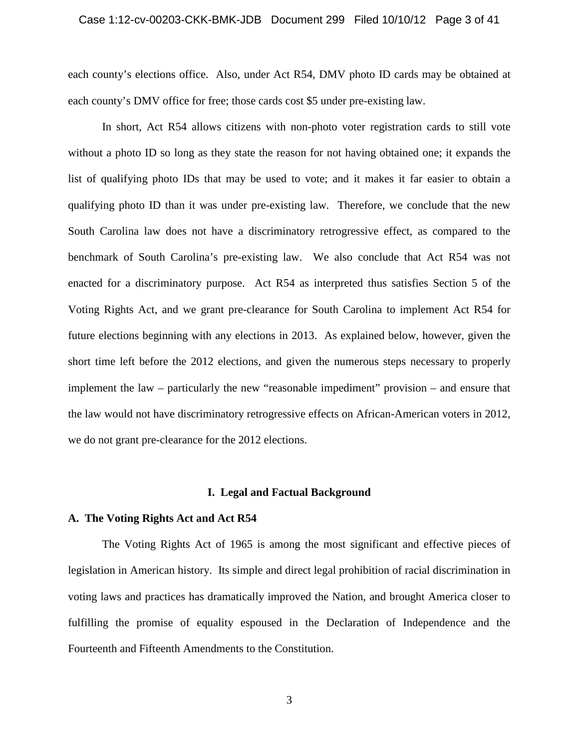each county's elections office. Also, under Act R54, DMV photo ID cards may be obtained at each county's DMV office for free; those cards cost \$5 under pre-existing law.

In short, Act R54 allows citizens with non-photo voter registration cards to still vote without a photo ID so long as they state the reason for not having obtained one; it expands the list of qualifying photo IDs that may be used to vote; and it makes it far easier to obtain a qualifying photo ID than it was under pre-existing law. Therefore, we conclude that the new South Carolina law does not have a discriminatory retrogressive effect, as compared to the benchmark of South Carolina's pre-existing law. We also conclude that Act R54 was not enacted for a discriminatory purpose. Act R54 as interpreted thus satisfies Section 5 of the Voting Rights Act, and we grant pre-clearance for South Carolina to implement Act R54 for future elections beginning with any elections in 2013. As explained below, however, given the short time left before the 2012 elections, and given the numerous steps necessary to properly implement the law – particularly the new "reasonable impediment" provision – and ensure that the law would not have discriminatory retrogressive effects on African-American voters in 2012, we do not grant pre-clearance for the 2012 elections.

#### **I. Legal and Factual Background**

# **A. The Voting Rights Act and Act R54**

The Voting Rights Act of 1965 is among the most significant and effective pieces of legislation in American history. Its simple and direct legal prohibition of racial discrimination in voting laws and practices has dramatically improved the Nation, and brought America closer to fulfilling the promise of equality espoused in the Declaration of Independence and the Fourteenth and Fifteenth Amendments to the Constitution.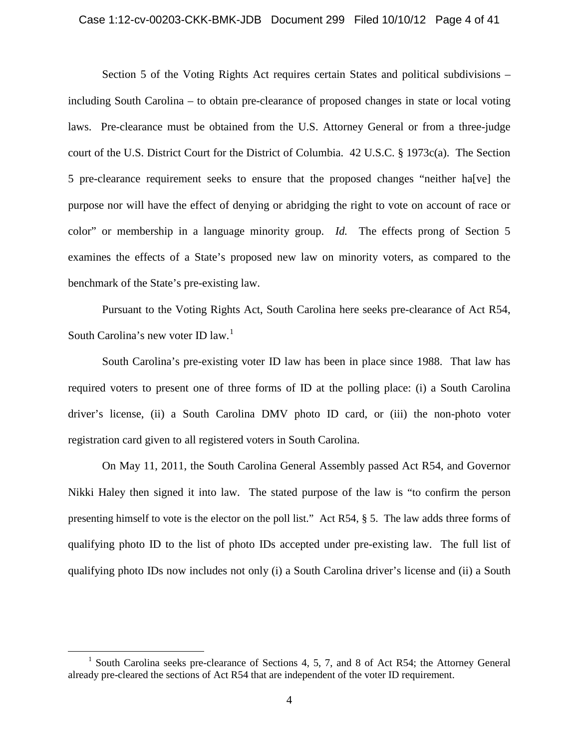# Case 1:12-cv-00203-CKK-BMK-JDB Document 299 Filed 10/10/12 Page 4 of 41

Section 5 of the Voting Rights Act requires certain States and political subdivisions – including South Carolina – to obtain pre-clearance of proposed changes in state or local voting laws. Pre-clearance must be obtained from the U.S. Attorney General or from a three-judge court of the U.S. District Court for the District of Columbia. 42 U.S.C. § 1973c(a). The Section 5 pre-clearance requirement seeks to ensure that the proposed changes "neither ha[ve] the purpose nor will have the effect of denying or abridging the right to vote on account of race or color" or membership in a language minority group. *Id.* The effects prong of Section 5 examines the effects of a State's proposed new law on minority voters, as compared to the benchmark of the State's pre-existing law.

Pursuant to the Voting Rights Act, South Carolina here seeks pre-clearance of Act R54, South Carolina's new voter ID  $law$ <sup>1</sup>

South Carolina's pre-existing voter ID law has been in place since 1988. That law has required voters to present one of three forms of ID at the polling place: (i) a South Carolina driver's license, (ii) a South Carolina DMV photo ID card, or (iii) the non-photo voter registration card given to all registered voters in South Carolina.

On May 11, 2011, the South Carolina General Assembly passed Act R54, and Governor Nikki Haley then signed it into law. The stated purpose of the law is "to confirm the person presenting himself to vote is the elector on the poll list." Act R54, § 5. The law adds three forms of qualifying photo ID to the list of photo IDs accepted under pre-existing law. The full list of qualifying photo IDs now includes not only (i) a South Carolina driver's license and (ii) a South

<sup>&</sup>lt;sup>1</sup> South Carolina seeks pre-clearance of Sections 4, 5, 7, and 8 of Act R54; the Attorney General already pre-cleared the sections of Act R54 that are independent of the voter ID requirement.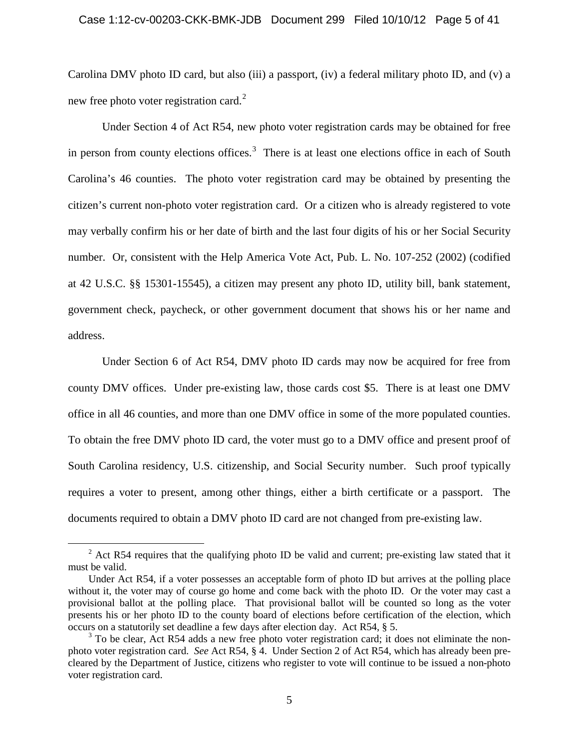Carolina DMV photo ID card, but also (iii) a passport, (iv) a federal military photo ID, and (v) a new free photo voter registration card.<sup>2</sup>

Under Section 4 of Act R54, new photo voter registration cards may be obtained for free in person from county elections offices.<sup>3</sup> There is at least one elections office in each of South Carolina's 46 counties. The photo voter registration card may be obtained by presenting the citizen's current non-photo voter registration card. Or a citizen who is already registered to vote may verbally confirm his or her date of birth and the last four digits of his or her Social Security number. Or, consistent with the Help America Vote Act, Pub. L. No. 107-252 (2002) (codified at 42 U.S.C. §§ 15301-15545), a citizen may present any photo ID, utility bill, bank statement, government check, paycheck, or other government document that shows his or her name and address.

Under Section 6 of Act R54, DMV photo ID cards may now be acquired for free from county DMV offices. Under pre-existing law, those cards cost \$5. There is at least one DMV office in all 46 counties, and more than one DMV office in some of the more populated counties. To obtain the free DMV photo ID card, the voter must go to a DMV office and present proof of South Carolina residency, U.S. citizenship, and Social Security number. Such proof typically requires a voter to present, among other things, either a birth certificate or a passport. The documents required to obtain a DMV photo ID card are not changed from pre-existing law.

 $2$  Act R54 requires that the qualifying photo ID be valid and current; pre-existing law stated that it must be valid.

Under Act R54, if a voter possesses an acceptable form of photo ID but arrives at the polling place without it, the voter may of course go home and come back with the photo ID. Or the voter may cast a provisional ballot at the polling place. That provisional ballot will be counted so long as the voter presents his or her photo ID to the county board of elections before certification of the election, which occurs on a statutorily set deadline a few days after election day. Act R54, § 5.

<sup>&</sup>lt;sup>3</sup> To be clear, Act R54 adds a new free photo voter registration card; it does not eliminate the nonphoto voter registration card. *See* Act R54, § 4. Under Section 2 of Act R54, which has already been precleared by the Department of Justice, citizens who register to vote will continue to be issued a non-photo voter registration card.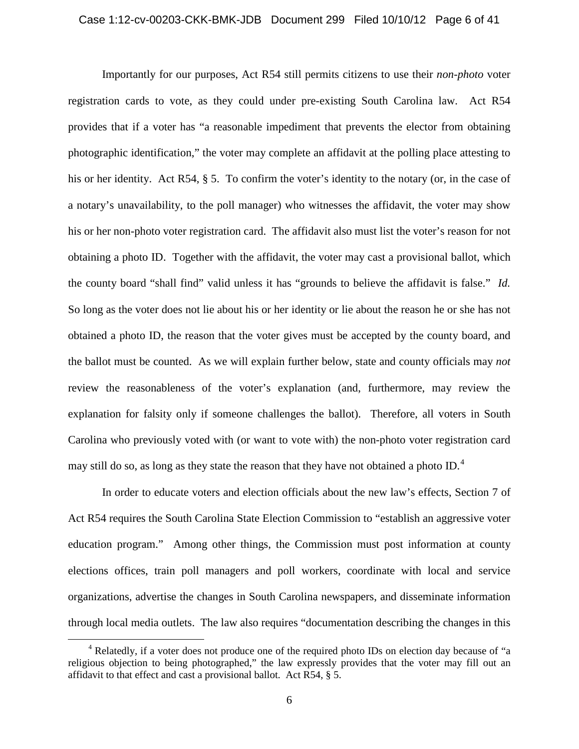Importantly for our purposes, Act R54 still permits citizens to use their *non-photo* voter registration cards to vote, as they could under pre-existing South Carolina law. Act R54 provides that if a voter has "a reasonable impediment that prevents the elector from obtaining photographic identification," the voter may complete an affidavit at the polling place attesting to his or her identity. Act R54, § 5. To confirm the voter's identity to the notary (or, in the case of a notary's unavailability, to the poll manager) who witnesses the affidavit, the voter may show his or her non-photo voter registration card. The affidavit also must list the voter's reason for not obtaining a photo ID. Together with the affidavit, the voter may cast a provisional ballot, which the county board "shall find" valid unless it has "grounds to believe the affidavit is false." *Id.* So long as the voter does not lie about his or her identity or lie about the reason he or she has not obtained a photo ID, the reason that the voter gives must be accepted by the county board, and the ballot must be counted. As we will explain further below, state and county officials may *not* review the reasonableness of the voter's explanation (and, furthermore, may review the explanation for falsity only if someone challenges the ballot). Therefore, all voters in South Carolina who previously voted with (or want to vote with) the non-photo voter registration card may still do so, as long as they state the reason that they have not obtained a photo ID.<sup>4</sup>

In order to educate voters and election officials about the new law's effects, Section 7 of Act R54 requires the South Carolina State Election Commission to "establish an aggressive voter education program." Among other things, the Commission must post information at county elections offices, train poll managers and poll workers, coordinate with local and service organizations, advertise the changes in South Carolina newspapers, and disseminate information through local media outlets. The law also requires "documentation describing the changes in this

<sup>&</sup>lt;sup>4</sup> Relatedly, if a voter does not produce one of the required photo IDs on election day because of "a religious objection to being photographed," the law expressly provides that the voter may fill out an affidavit to that effect and cast a provisional ballot. Act R54, § 5.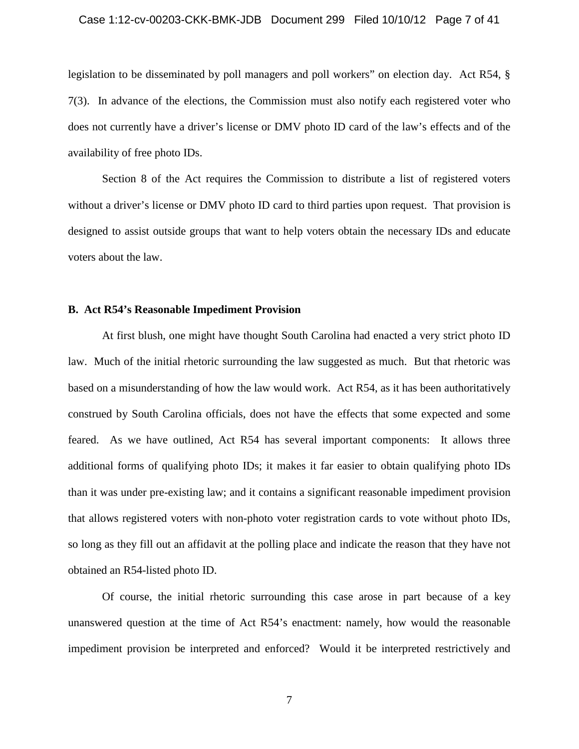# Case 1:12-cv-00203-CKK-BMK-JDB Document 299 Filed 10/10/12 Page 7 of 41

legislation to be disseminated by poll managers and poll workers" on election day. Act R54, § 7(3). In advance of the elections, the Commission must also notify each registered voter who does not currently have a driver's license or DMV photo ID card of the law's effects and of the availability of free photo IDs.

Section 8 of the Act requires the Commission to distribute a list of registered voters without a driver's license or DMV photo ID card to third parties upon request. That provision is designed to assist outside groups that want to help voters obtain the necessary IDs and educate voters about the law.

# **B. Act R54's Reasonable Impediment Provision**

At first blush, one might have thought South Carolina had enacted a very strict photo ID law. Much of the initial rhetoric surrounding the law suggested as much. But that rhetoric was based on a misunderstanding of how the law would work. Act R54, as it has been authoritatively construed by South Carolina officials, does not have the effects that some expected and some feared. As we have outlined, Act R54 has several important components: It allows three additional forms of qualifying photo IDs; it makes it far easier to obtain qualifying photo IDs than it was under pre-existing law; and it contains a significant reasonable impediment provision that allows registered voters with non-photo voter registration cards to vote without photo IDs, so long as they fill out an affidavit at the polling place and indicate the reason that they have not obtained an R54-listed photo ID.

Of course, the initial rhetoric surrounding this case arose in part because of a key unanswered question at the time of Act R54's enactment: namely, how would the reasonable impediment provision be interpreted and enforced? Would it be interpreted restrictively and

7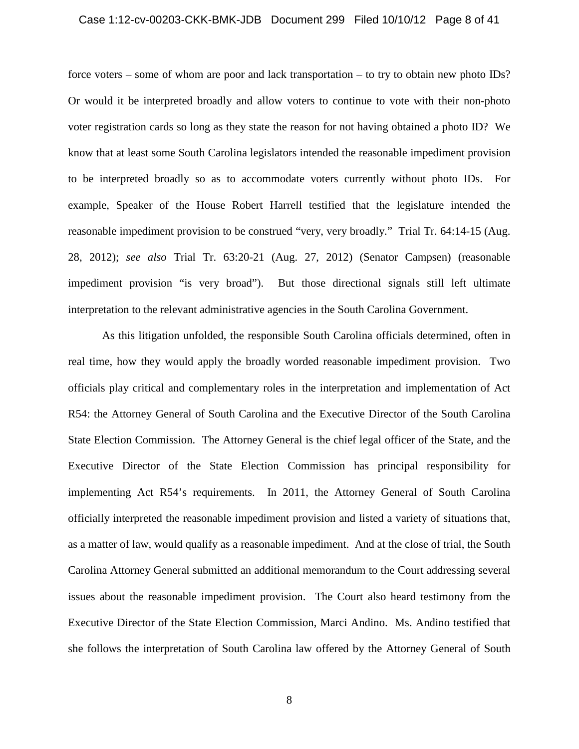#### Case 1:12-cv-00203-CKK-BMK-JDB Document 299 Filed 10/10/12 Page 8 of 41

force voters – some of whom are poor and lack transportation – to try to obtain new photo IDs? Or would it be interpreted broadly and allow voters to continue to vote with their non-photo voter registration cards so long as they state the reason for not having obtained a photo ID? We know that at least some South Carolina legislators intended the reasonable impediment provision to be interpreted broadly so as to accommodate voters currently without photo IDs. For example, Speaker of the House Robert Harrell testified that the legislature intended the reasonable impediment provision to be construed "very, very broadly." Trial Tr. 64:14-15 (Aug. 28, 2012); *see also* Trial Tr. 63:20-21 (Aug. 27, 2012) (Senator Campsen) (reasonable impediment provision "is very broad"). But those directional signals still left ultimate interpretation to the relevant administrative agencies in the South Carolina Government.

As this litigation unfolded, the responsible South Carolina officials determined, often in real time, how they would apply the broadly worded reasonable impediment provision. Two officials play critical and complementary roles in the interpretation and implementation of Act R54: the Attorney General of South Carolina and the Executive Director of the South Carolina State Election Commission. The Attorney General is the chief legal officer of the State, and the Executive Director of the State Election Commission has principal responsibility for implementing Act R54's requirements. In 2011, the Attorney General of South Carolina officially interpreted the reasonable impediment provision and listed a variety of situations that, as a matter of law, would qualify as a reasonable impediment. And at the close of trial, the South Carolina Attorney General submitted an additional memorandum to the Court addressing several issues about the reasonable impediment provision. The Court also heard testimony from the Executive Director of the State Election Commission, Marci Andino. Ms. Andino testified that she follows the interpretation of South Carolina law offered by the Attorney General of South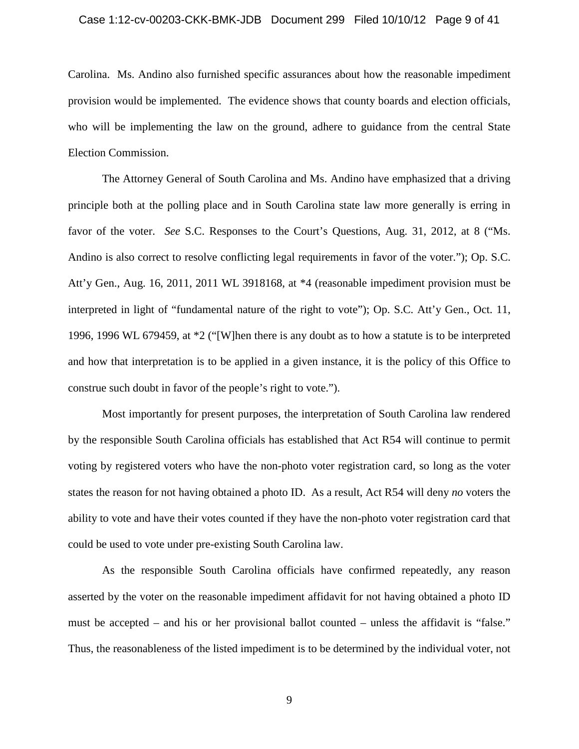# Case 1:12-cv-00203-CKK-BMK-JDB Document 299 Filed 10/10/12 Page 9 of 41

Carolina. Ms. Andino also furnished specific assurances about how the reasonable impediment provision would be implemented. The evidence shows that county boards and election officials, who will be implementing the law on the ground, adhere to guidance from the central State Election Commission.

The Attorney General of South Carolina and Ms. Andino have emphasized that a driving principle both at the polling place and in South Carolina state law more generally is erring in favor of the voter. *See* S.C. Responses to the Court's Questions, Aug. 31, 2012, at 8 ("Ms. Andino is also correct to resolve conflicting legal requirements in favor of the voter."); Op. S.C. Att'y Gen., Aug. 16, 2011, 2011 WL 3918168, at \*4 (reasonable impediment provision must be interpreted in light of "fundamental nature of the right to vote"); Op. S.C. Att'y Gen., Oct. 11, 1996, 1996 WL 679459, at \*2 ("[W]hen there is any doubt as to how a statute is to be interpreted and how that interpretation is to be applied in a given instance, it is the policy of this Office to construe such doubt in favor of the people's right to vote.").

Most importantly for present purposes, the interpretation of South Carolina law rendered by the responsible South Carolina officials has established that Act R54 will continue to permit voting by registered voters who have the non-photo voter registration card, so long as the voter states the reason for not having obtained a photo ID. As a result, Act R54 will deny *no* voters the ability to vote and have their votes counted if they have the non-photo voter registration card that could be used to vote under pre-existing South Carolina law.

As the responsible South Carolina officials have confirmed repeatedly, any reason asserted by the voter on the reasonable impediment affidavit for not having obtained a photo ID must be accepted – and his or her provisional ballot counted – unless the affidavit is "false." Thus, the reasonableness of the listed impediment is to be determined by the individual voter, not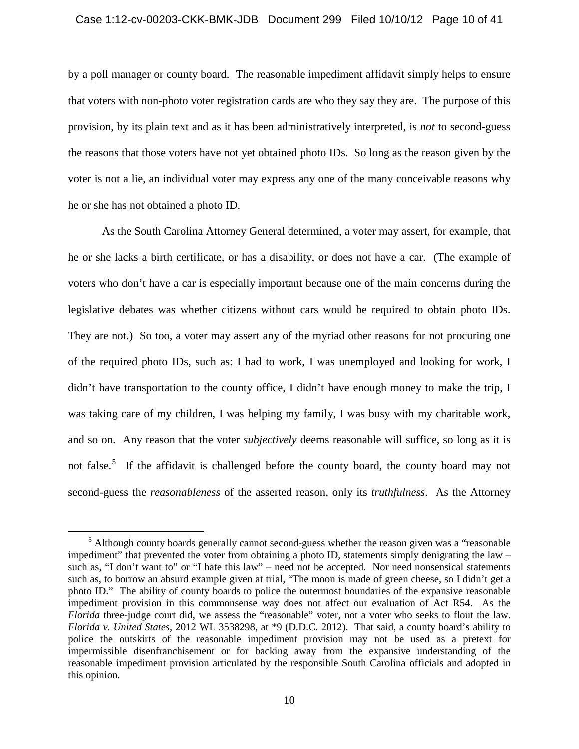#### Case 1:12-cv-00203-CKK-BMK-JDB Document 299 Filed 10/10/12 Page 10 of 41

by a poll manager or county board. The reasonable impediment affidavit simply helps to ensure that voters with non-photo voter registration cards are who they say they are. The purpose of this provision, by its plain text and as it has been administratively interpreted, is *not* to second-guess the reasons that those voters have not yet obtained photo IDs. So long as the reason given by the voter is not a lie, an individual voter may express any one of the many conceivable reasons why he or she has not obtained a photo ID.

As the South Carolina Attorney General determined, a voter may assert, for example, that he or she lacks a birth certificate, or has a disability, or does not have a car. (The example of voters who don't have a car is especially important because one of the main concerns during the legislative debates was whether citizens without cars would be required to obtain photo IDs. They are not.) So too, a voter may assert any of the myriad other reasons for not procuring one of the required photo IDs, such as: I had to work, I was unemployed and looking for work, I didn't have transportation to the county office, I didn't have enough money to make the trip, I was taking care of my children, I was helping my family, I was busy with my charitable work, and so on. Any reason that the voter *subjectively* deems reasonable will suffice, so long as it is not false.<sup>5</sup> If the affidavit is challenged before the county board, the county board may not second-guess the *reasonableness* of the asserted reason, only its *truthfulness*. As the Attorney

 $rac{1}{5}$  $<sup>5</sup>$  Although county boards generally cannot second-guess whether the reason given was a "reasonable"</sup> impediment" that prevented the voter from obtaining a photo ID, statements simply denigrating the law – such as, "I don't want to" or "I hate this law" – need not be accepted. Nor need nonsensical statements such as, to borrow an absurd example given at trial, "The moon is made of green cheese, so I didn't get a photo ID." The ability of county boards to police the outermost boundaries of the expansive reasonable impediment provision in this commonsense way does not affect our evaluation of Act R54. As the *Florida* three-judge court did, we assess the "reasonable" voter, not a voter who seeks to flout the law. *Florida v. United States*, 2012 WL 3538298, at \*9 (D.D.C. 2012). That said, a county board's ability to police the outskirts of the reasonable impediment provision may not be used as a pretext for impermissible disenfranchisement or for backing away from the expansive understanding of the reasonable impediment provision articulated by the responsible South Carolina officials and adopted in this opinion.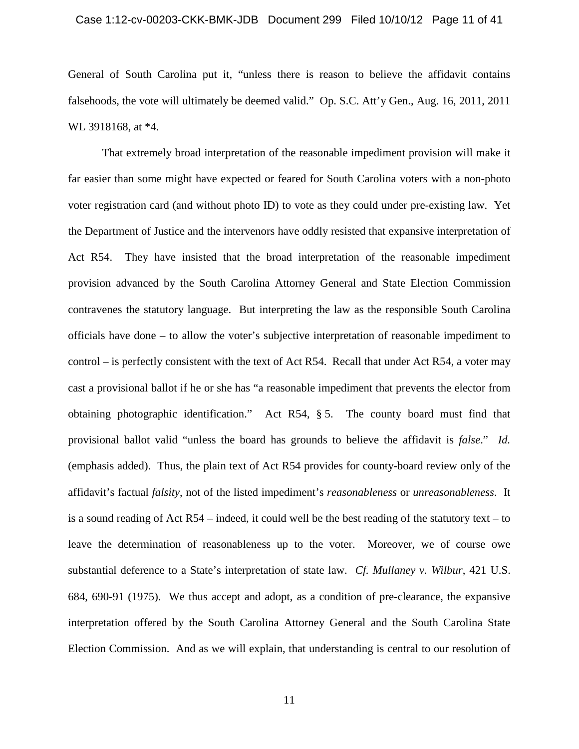# Case 1:12-cv-00203-CKK-BMK-JDB Document 299 Filed 10/10/12 Page 11 of 41

General of South Carolina put it, "unless there is reason to believe the affidavit contains falsehoods, the vote will ultimately be deemed valid." Op. S.C. Att'y Gen., Aug. 16, 2011, 2011 WL 3918168, at \*4.

That extremely broad interpretation of the reasonable impediment provision will make it far easier than some might have expected or feared for South Carolina voters with a non-photo voter registration card (and without photo ID) to vote as they could under pre-existing law. Yet the Department of Justice and the intervenors have oddly resisted that expansive interpretation of Act R54. They have insisted that the broad interpretation of the reasonable impediment provision advanced by the South Carolina Attorney General and State Election Commission contravenes the statutory language. But interpreting the law as the responsible South Carolina officials have done – to allow the voter's subjective interpretation of reasonable impediment to control – is perfectly consistent with the text of Act R54. Recall that under Act R54, a voter may cast a provisional ballot if he or she has "a reasonable impediment that prevents the elector from obtaining photographic identification." Act R54, § 5. The county board must find that provisional ballot valid "unless the board has grounds to believe the affidavit is *false*." *Id.* (emphasis added). Thus, the plain text of Act R54 provides for county-board review only of the affidavit's factual *falsity*, not of the listed impediment's *reasonableness* or *unreasonableness*. It is a sound reading of Act R54 – indeed, it could well be the best reading of the statutory text – to leave the determination of reasonableness up to the voter. Moreover, we of course owe substantial deference to a State's interpretation of state law. *Cf. Mullaney v. Wilbur*, 421 U.S. 684, 690-91 (1975). We thus accept and adopt, as a condition of pre-clearance, the expansive interpretation offered by the South Carolina Attorney General and the South Carolina State Election Commission. And as we will explain, that understanding is central to our resolution of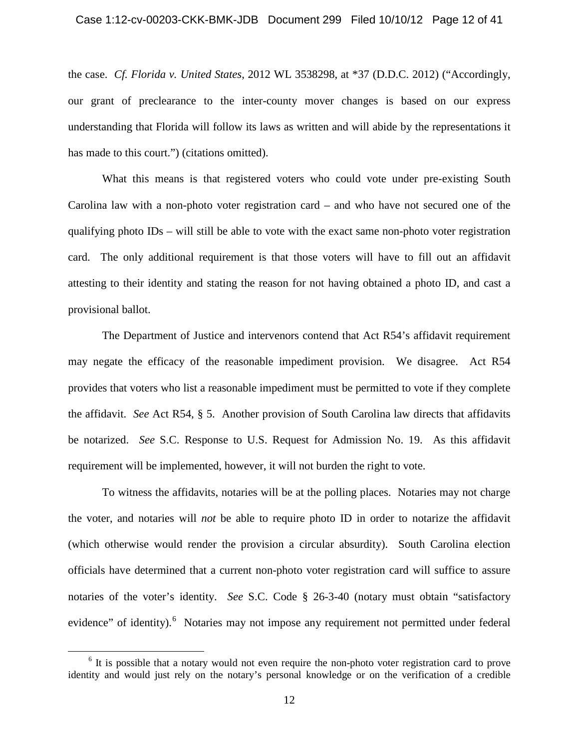# Case 1:12-cv-00203-CKK-BMK-JDB Document 299 Filed 10/10/12 Page 12 of 41

the case. *Cf. Florida v. United States*, 2012 WL 3538298, at \*37 (D.D.C. 2012) ("Accordingly, our grant of preclearance to the inter-county mover changes is based on our express understanding that Florida will follow its laws as written and will abide by the representations it has made to this court.") (citations omitted).

What this means is that registered voters who could vote under pre-existing South Carolina law with a non-photo voter registration card – and who have not secured one of the qualifying photo IDs – will still be able to vote with the exact same non-photo voter registration card. The only additional requirement is that those voters will have to fill out an affidavit attesting to their identity and stating the reason for not having obtained a photo ID, and cast a provisional ballot.

The Department of Justice and intervenors contend that Act R54's affidavit requirement may negate the efficacy of the reasonable impediment provision. We disagree. Act R54 provides that voters who list a reasonable impediment must be permitted to vote if they complete the affidavit. *See* Act R54, § 5. Another provision of South Carolina law directs that affidavits be notarized. *See* S.C. Response to U.S. Request for Admission No. 19. As this affidavit requirement will be implemented, however, it will not burden the right to vote.

To witness the affidavits, notaries will be at the polling places. Notaries may not charge the voter, and notaries will *not* be able to require photo ID in order to notarize the affidavit (which otherwise would render the provision a circular absurdity). South Carolina election officials have determined that a current non-photo voter registration card will suffice to assure notaries of the voter's identity. *See* S.C. Code § 26-3-40 (notary must obtain "satisfactory evidence" of identity).<sup>6</sup> Notaries may not impose any requirement not permitted under federal

 $6$  It is possible that a notary would not even require the non-photo voter registration card to prove identity and would just rely on the notary's personal knowledge or on the verification of a credible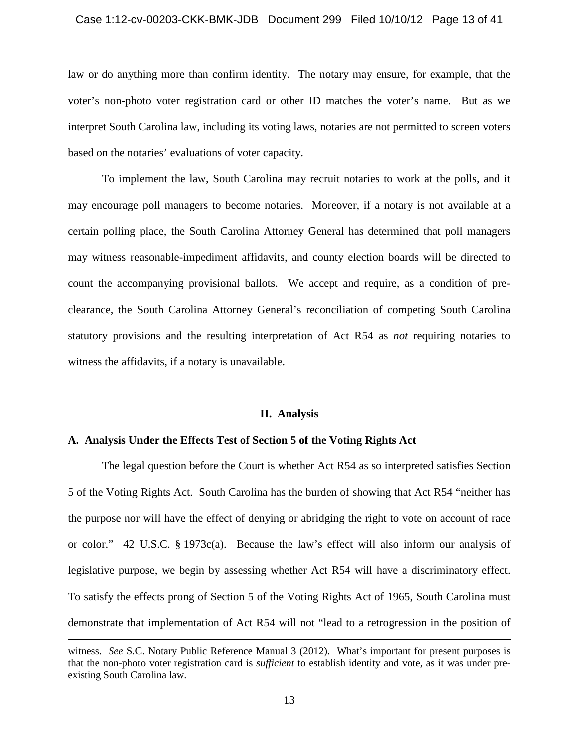#### Case 1:12-cv-00203-CKK-BMK-JDB Document 299 Filed 10/10/12 Page 13 of 41

law or do anything more than confirm identity. The notary may ensure, for example, that the voter's non-photo voter registration card or other ID matches the voter's name. But as we interpret South Carolina law, including its voting laws, notaries are not permitted to screen voters based on the notaries' evaluations of voter capacity.

To implement the law, South Carolina may recruit notaries to work at the polls, and it may encourage poll managers to become notaries. Moreover, if a notary is not available at a certain polling place, the South Carolina Attorney General has determined that poll managers may witness reasonable-impediment affidavits, and county election boards will be directed to count the accompanying provisional ballots. We accept and require, as a condition of preclearance, the South Carolina Attorney General's reconciliation of competing South Carolina statutory provisions and the resulting interpretation of Act R54 as *not* requiring notaries to witness the affidavits, if a notary is unavailable.

#### **II. Analysis**

# **A. Analysis Under the Effects Test of Section 5 of the Voting Rights Act**

 $\overline{a}$ 

The legal question before the Court is whether Act R54 as so interpreted satisfies Section 5 of the Voting Rights Act. South Carolina has the burden of showing that Act R54 "neither has the purpose nor will have the effect of denying or abridging the right to vote on account of race or color." 42 U.S.C. § 1973c(a). Because the law's effect will also inform our analysis of legislative purpose, we begin by assessing whether Act R54 will have a discriminatory effect. To satisfy the effects prong of Section 5 of the Voting Rights Act of 1965, South Carolina must demonstrate that implementation of Act R54 will not "lead to a retrogression in the position of

witness. *See* S.C. Notary Public Reference Manual 3 (2012). What's important for present purposes is that the non-photo voter registration card is *sufficient* to establish identity and vote, as it was under preexisting South Carolina law.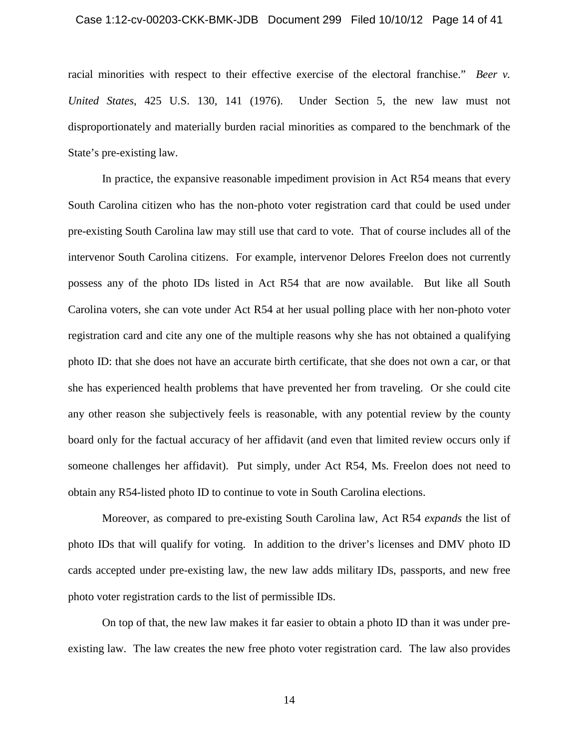# Case 1:12-cv-00203-CKK-BMK-JDB Document 299 Filed 10/10/12 Page 14 of 41

racial minorities with respect to their effective exercise of the electoral franchise." *Beer v. United States*, 425 U.S. 130, 141 (1976). Under Section 5, the new law must not disproportionately and materially burden racial minorities as compared to the benchmark of the State's pre-existing law.

In practice, the expansive reasonable impediment provision in Act R54 means that every South Carolina citizen who has the non-photo voter registration card that could be used under pre-existing South Carolina law may still use that card to vote. That of course includes all of the intervenor South Carolina citizens. For example, intervenor Delores Freelon does not currently possess any of the photo IDs listed in Act R54 that are now available. But like all South Carolina voters, she can vote under Act R54 at her usual polling place with her non-photo voter registration card and cite any one of the multiple reasons why she has not obtained a qualifying photo ID: that she does not have an accurate birth certificate, that she does not own a car, or that she has experienced health problems that have prevented her from traveling. Or she could cite any other reason she subjectively feels is reasonable, with any potential review by the county board only for the factual accuracy of her affidavit (and even that limited review occurs only if someone challenges her affidavit). Put simply, under Act R54, Ms. Freelon does not need to obtain any R54-listed photo ID to continue to vote in South Carolina elections.

Moreover, as compared to pre-existing South Carolina law, Act R54 *expands* the list of photo IDs that will qualify for voting. In addition to the driver's licenses and DMV photo ID cards accepted under pre-existing law, the new law adds military IDs, passports, and new free photo voter registration cards to the list of permissible IDs.

On top of that, the new law makes it far easier to obtain a photo ID than it was under preexisting law. The law creates the new free photo voter registration card. The law also provides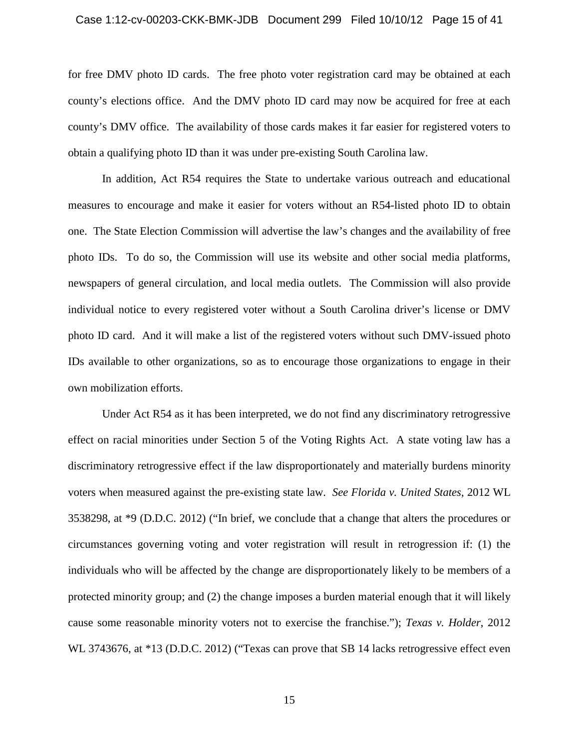#### Case 1:12-cv-00203-CKK-BMK-JDB Document 299 Filed 10/10/12 Page 15 of 41

for free DMV photo ID cards. The free photo voter registration card may be obtained at each county's elections office. And the DMV photo ID card may now be acquired for free at each county's DMV office. The availability of those cards makes it far easier for registered voters to obtain a qualifying photo ID than it was under pre-existing South Carolina law.

In addition, Act R54 requires the State to undertake various outreach and educational measures to encourage and make it easier for voters without an R54-listed photo ID to obtain one. The State Election Commission will advertise the law's changes and the availability of free photo IDs. To do so, the Commission will use its website and other social media platforms, newspapers of general circulation, and local media outlets. The Commission will also provide individual notice to every registered voter without a South Carolina driver's license or DMV photo ID card. And it will make a list of the registered voters without such DMV-issued photo IDs available to other organizations, so as to encourage those organizations to engage in their own mobilization efforts.

Under Act R54 as it has been interpreted, we do not find any discriminatory retrogressive effect on racial minorities under Section 5 of the Voting Rights Act. A state voting law has a discriminatory retrogressive effect if the law disproportionately and materially burdens minority voters when measured against the pre-existing state law. *See Florida v. United States*, 2012 WL 3538298, at \*9 (D.D.C. 2012) ("In brief, we conclude that a change that alters the procedures or circumstances governing voting and voter registration will result in retrogression if: (1) the individuals who will be affected by the change are disproportionately likely to be members of a protected minority group; and (2) the change imposes a burden material enough that it will likely cause some reasonable minority voters not to exercise the franchise."); *Texas v. Holder*, 2012 WL 3743676, at \*13 (D.D.C. 2012) ("Texas can prove that SB 14 lacks retrogressive effect even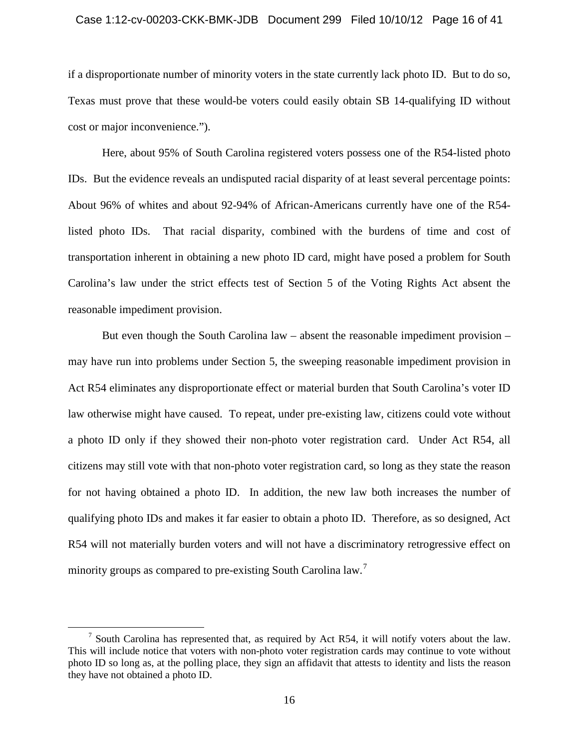#### Case 1:12-cv-00203-CKK-BMK-JDB Document 299 Filed 10/10/12 Page 16 of 41

if a disproportionate number of minority voters in the state currently lack photo ID. But to do so, Texas must prove that these would-be voters could easily obtain SB 14-qualifying ID without cost or major inconvenience.").

Here, about 95% of South Carolina registered voters possess one of the R54-listed photo IDs. But the evidence reveals an undisputed racial disparity of at least several percentage points: About 96% of whites and about 92-94% of African-Americans currently have one of the R54 listed photo IDs. That racial disparity, combined with the burdens of time and cost of transportation inherent in obtaining a new photo ID card, might have posed a problem for South Carolina's law under the strict effects test of Section 5 of the Voting Rights Act absent the reasonable impediment provision.

But even though the South Carolina law – absent the reasonable impediment provision – may have run into problems under Section 5, the sweeping reasonable impediment provision in Act R54 eliminates any disproportionate effect or material burden that South Carolina's voter ID law otherwise might have caused. To repeat, under pre-existing law, citizens could vote without a photo ID only if they showed their non-photo voter registration card. Under Act R54, all citizens may still vote with that non-photo voter registration card, so long as they state the reason for not having obtained a photo ID. In addition, the new law both increases the number of qualifying photo IDs and makes it far easier to obtain a photo ID. Therefore, as so designed, Act R54 will not materially burden voters and will not have a discriminatory retrogressive effect on minority groups as compared to pre-existing South Carolina law.<sup>7</sup>

<sup>&</sup>lt;sup>7</sup> South Carolina has represented that, as required by Act R54, it will notify voters about the law. This will include notice that voters with non-photo voter registration cards may continue to vote without photo ID so long as, at the polling place, they sign an affidavit that attests to identity and lists the reason they have not obtained a photo ID.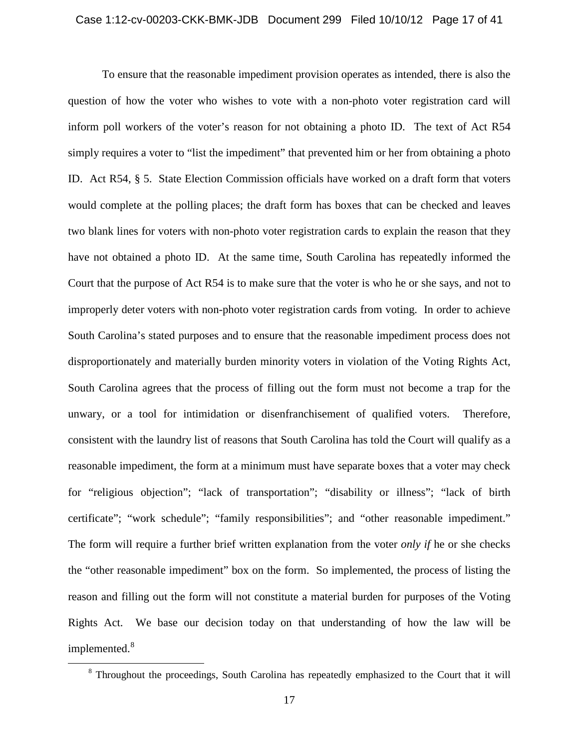To ensure that the reasonable impediment provision operates as intended, there is also the question of how the voter who wishes to vote with a non-photo voter registration card will inform poll workers of the voter's reason for not obtaining a photo ID. The text of Act R54 simply requires a voter to "list the impediment" that prevented him or her from obtaining a photo ID. Act R54, § 5. State Election Commission officials have worked on a draft form that voters would complete at the polling places; the draft form has boxes that can be checked and leaves two blank lines for voters with non-photo voter registration cards to explain the reason that they have not obtained a photo ID. At the same time, South Carolina has repeatedly informed the Court that the purpose of Act R54 is to make sure that the voter is who he or she says, and not to improperly deter voters with non-photo voter registration cards from voting. In order to achieve South Carolina's stated purposes and to ensure that the reasonable impediment process does not disproportionately and materially burden minority voters in violation of the Voting Rights Act, South Carolina agrees that the process of filling out the form must not become a trap for the unwary, or a tool for intimidation or disenfranchisement of qualified voters. Therefore, consistent with the laundry list of reasons that South Carolina has told the Court will qualify as a reasonable impediment, the form at a minimum must have separate boxes that a voter may check for "religious objection"; "lack of transportation"; "disability or illness"; "lack of birth certificate"; "work schedule"; "family responsibilities"; and "other reasonable impediment." The form will require a further brief written explanation from the voter *only if* he or she checks the "other reasonable impediment" box on the form. So implemented, the process of listing the reason and filling out the form will not constitute a material burden for purposes of the Voting Rights Act. We base our decision today on that understanding of how the law will be implemented.<sup>8</sup>

<sup>&</sup>lt;sup>8</sup> Throughout the proceedings, South Carolina has repeatedly emphasized to the Court that it will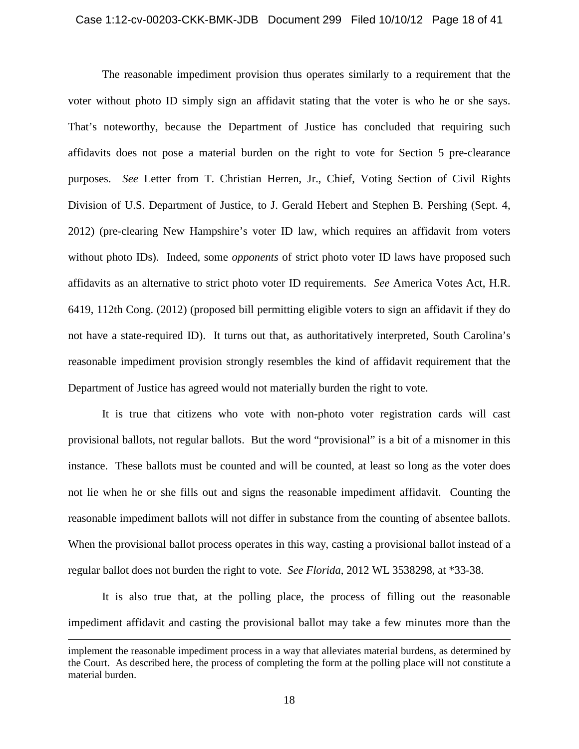The reasonable impediment provision thus operates similarly to a requirement that the voter without photo ID simply sign an affidavit stating that the voter is who he or she says. That's noteworthy, because the Department of Justice has concluded that requiring such affidavits does not pose a material burden on the right to vote for Section 5 pre-clearance purposes. *See* Letter from T. Christian Herren, Jr., Chief, Voting Section of Civil Rights Division of U.S. Department of Justice, to J. Gerald Hebert and Stephen B. Pershing (Sept. 4, 2012) (pre-clearing New Hampshire's voter ID law, which requires an affidavit from voters without photo IDs). Indeed, some *opponents* of strict photo voter ID laws have proposed such affidavits as an alternative to strict photo voter ID requirements. *See* America Votes Act, H.R. 6419, 112th Cong. (2012) (proposed bill permitting eligible voters to sign an affidavit if they do not have a state-required ID). It turns out that, as authoritatively interpreted, South Carolina's reasonable impediment provision strongly resembles the kind of affidavit requirement that the Department of Justice has agreed would not materially burden the right to vote.

It is true that citizens who vote with non-photo voter registration cards will cast provisional ballots, not regular ballots. But the word "provisional" is a bit of a misnomer in this instance. These ballots must be counted and will be counted, at least so long as the voter does not lie when he or she fills out and signs the reasonable impediment affidavit. Counting the reasonable impediment ballots will not differ in substance from the counting of absentee ballots. When the provisional ballot process operates in this way, casting a provisional ballot instead of a regular ballot does not burden the right to vote. *See Florida*, 2012 WL 3538298, at \*33-38.

It is also true that, at the polling place, the process of filling out the reasonable impediment affidavit and casting the provisional ballot may take a few minutes more than the

 $\overline{a}$ 

implement the reasonable impediment process in a way that alleviates material burdens, as determined by the Court. As described here, the process of completing the form at the polling place will not constitute a material burden.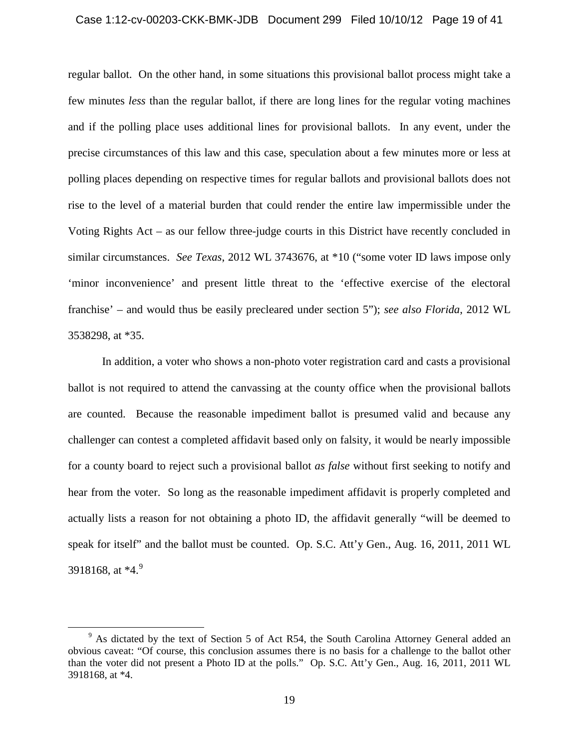#### Case 1:12-cv-00203-CKK-BMK-JDB Document 299 Filed 10/10/12 Page 19 of 41

regular ballot. On the other hand, in some situations this provisional ballot process might take a few minutes *less* than the regular ballot, if there are long lines for the regular voting machines and if the polling place uses additional lines for provisional ballots. In any event, under the precise circumstances of this law and this case, speculation about a few minutes more or less at polling places depending on respective times for regular ballots and provisional ballots does not rise to the level of a material burden that could render the entire law impermissible under the Voting Rights Act – as our fellow three-judge courts in this District have recently concluded in similar circumstances. *See Texas*, 2012 WL 3743676, at \*10 ("some voter ID laws impose only 'minor inconvenience' and present little threat to the 'effective exercise of the electoral franchise' – and would thus be easily precleared under section 5"); *see also Florida*, 2012 WL 3538298, at \*35.

In addition, a voter who shows a non-photo voter registration card and casts a provisional ballot is not required to attend the canvassing at the county office when the provisional ballots are counted. Because the reasonable impediment ballot is presumed valid and because any challenger can contest a completed affidavit based only on falsity, it would be nearly impossible for a county board to reject such a provisional ballot *as false* without first seeking to notify and hear from the voter. So long as the reasonable impediment affidavit is properly completed and actually lists a reason for not obtaining a photo ID, the affidavit generally "will be deemed to speak for itself" and the ballot must be counted. Op. S.C. Att'y Gen., Aug. 16, 2011, 2011 WL 3918168, at \*4.<sup>9</sup>

<sup>&</sup>lt;sup>9</sup> As dictated by the text of Section 5 of Act R54, the South Carolina Attorney General added an obvious caveat: "Of course, this conclusion assumes there is no basis for a challenge to the ballot other than the voter did not present a Photo ID at the polls." Op. S.C. Att'y Gen., Aug. 16, 2011, 2011 WL 3918168, at \*4.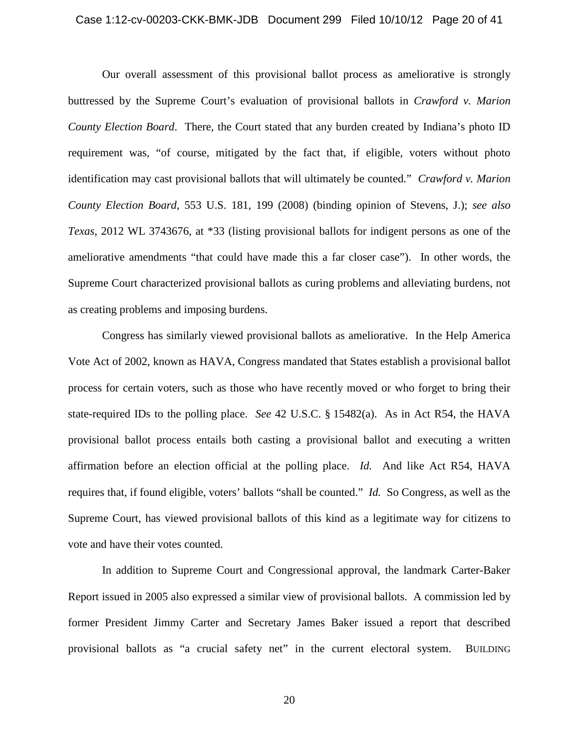# Case 1:12-cv-00203-CKK-BMK-JDB Document 299 Filed 10/10/12 Page 20 of 41

Our overall assessment of this provisional ballot process as ameliorative is strongly buttressed by the Supreme Court's evaluation of provisional ballots in *Crawford v. Marion County Election Board*. There, the Court stated that any burden created by Indiana's photo ID requirement was, "of course, mitigated by the fact that, if eligible, voters without photo identification may cast provisional ballots that will ultimately be counted." *Crawford v. Marion County Election Board*, 553 U.S. 181, 199 (2008) (binding opinion of Stevens, J.); *see also Texas*, 2012 WL 3743676, at \*33 (listing provisional ballots for indigent persons as one of the ameliorative amendments "that could have made this a far closer case"). In other words, the Supreme Court characterized provisional ballots as curing problems and alleviating burdens, not as creating problems and imposing burdens.

Congress has similarly viewed provisional ballots as ameliorative. In the Help America Vote Act of 2002, known as HAVA, Congress mandated that States establish a provisional ballot process for certain voters, such as those who have recently moved or who forget to bring their state-required IDs to the polling place. *See* 42 U.S.C. § 15482(a). As in Act R54, the HAVA provisional ballot process entails both casting a provisional ballot and executing a written affirmation before an election official at the polling place. *Id.* And like Act R54, HAVA requires that, if found eligible, voters' ballots "shall be counted." *Id.* So Congress, as well as the Supreme Court, has viewed provisional ballots of this kind as a legitimate way for citizens to vote and have their votes counted.

In addition to Supreme Court and Congressional approval, the landmark Carter-Baker Report issued in 2005 also expressed a similar view of provisional ballots. A commission led by former President Jimmy Carter and Secretary James Baker issued a report that described provisional ballots as "a crucial safety net" in the current electoral system. BUILDING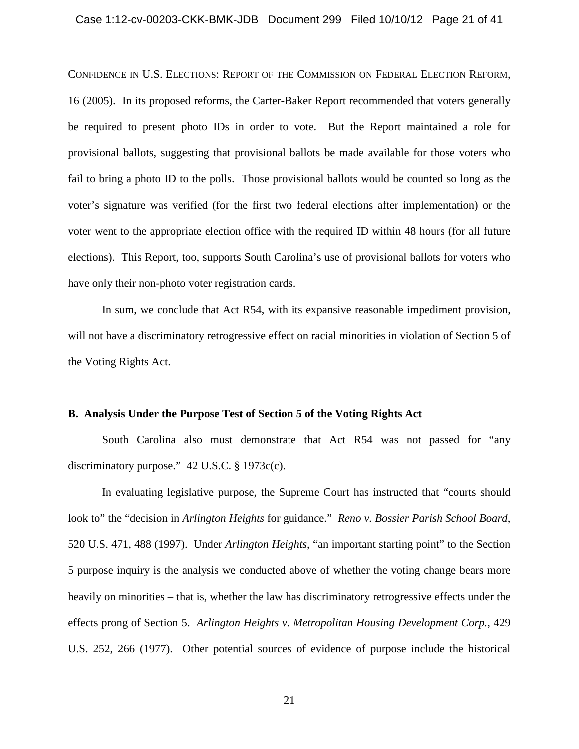# Case 1:12-cv-00203-CKK-BMK-JDB Document 299 Filed 10/10/12 Page 21 of 41

CONFIDENCE IN U.S. ELECTIONS: REPORT OF THE COMMISSION ON FEDERAL ELECTION REFORM, 16 (2005). In its proposed reforms, the Carter-Baker Report recommended that voters generally be required to present photo IDs in order to vote. But the Report maintained a role for provisional ballots, suggesting that provisional ballots be made available for those voters who fail to bring a photo ID to the polls. Those provisional ballots would be counted so long as the voter's signature was verified (for the first two federal elections after implementation) or the voter went to the appropriate election office with the required ID within 48 hours (for all future elections). This Report, too, supports South Carolina's use of provisional ballots for voters who have only their non-photo voter registration cards.

In sum, we conclude that Act R54, with its expansive reasonable impediment provision, will not have a discriminatory retrogressive effect on racial minorities in violation of Section 5 of the Voting Rights Act.

# **B. Analysis Under the Purpose Test of Section 5 of the Voting Rights Act**

South Carolina also must demonstrate that Act R54 was not passed for "any discriminatory purpose." 42 U.S.C. § 1973c(c).

In evaluating legislative purpose, the Supreme Court has instructed that "courts should look to" the "decision in *Arlington Heights* for guidance." *Reno v. Bossier Parish School Board*, 520 U.S. 471, 488 (1997). Under *Arlington Heights*, "an important starting point" to the Section 5 purpose inquiry is the analysis we conducted above of whether the voting change bears more heavily on minorities – that is, whether the law has discriminatory retrogressive effects under the effects prong of Section 5. *Arlington Heights v. Metropolitan Housing Development Corp.*, 429 U.S. 252, 266 (1977). Other potential sources of evidence of purpose include the historical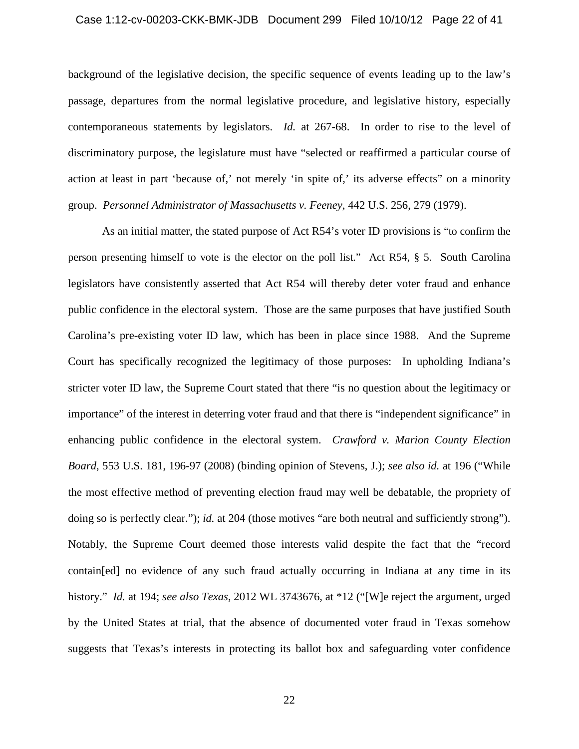# Case 1:12-cv-00203-CKK-BMK-JDB Document 299 Filed 10/10/12 Page 22 of 41

background of the legislative decision, the specific sequence of events leading up to the law's passage, departures from the normal legislative procedure, and legislative history, especially contemporaneous statements by legislators. *Id.* at 267-68. In order to rise to the level of discriminatory purpose, the legislature must have "selected or reaffirmed a particular course of action at least in part 'because of,' not merely 'in spite of,' its adverse effects" on a minority group. *Personnel Administrator of Massachusetts v. Feeney*, 442 U.S. 256, 279 (1979).

As an initial matter, the stated purpose of Act R54's voter ID provisions is "to confirm the person presenting himself to vote is the elector on the poll list." Act R54, § 5. South Carolina legislators have consistently asserted that Act R54 will thereby deter voter fraud and enhance public confidence in the electoral system. Those are the same purposes that have justified South Carolina's pre-existing voter ID law, which has been in place since 1988. And the Supreme Court has specifically recognized the legitimacy of those purposes: In upholding Indiana's stricter voter ID law, the Supreme Court stated that there "is no question about the legitimacy or importance" of the interest in deterring voter fraud and that there is "independent significance" in enhancing public confidence in the electoral system. *Crawford v. Marion County Election Board*, 553 U.S. 181, 196-97 (2008) (binding opinion of Stevens, J.); *see also id.* at 196 ("While the most effective method of preventing election fraud may well be debatable, the propriety of doing so is perfectly clear."); *id.* at 204 (those motives "are both neutral and sufficiently strong"). Notably, the Supreme Court deemed those interests valid despite the fact that the "record contain[ed] no evidence of any such fraud actually occurring in Indiana at any time in its history." *Id.* at 194; *see also Texas*, 2012 WL 3743676, at \*12 ("[W]e reject the argument, urged by the United States at trial, that the absence of documented voter fraud in Texas somehow suggests that Texas's interests in protecting its ballot box and safeguarding voter confidence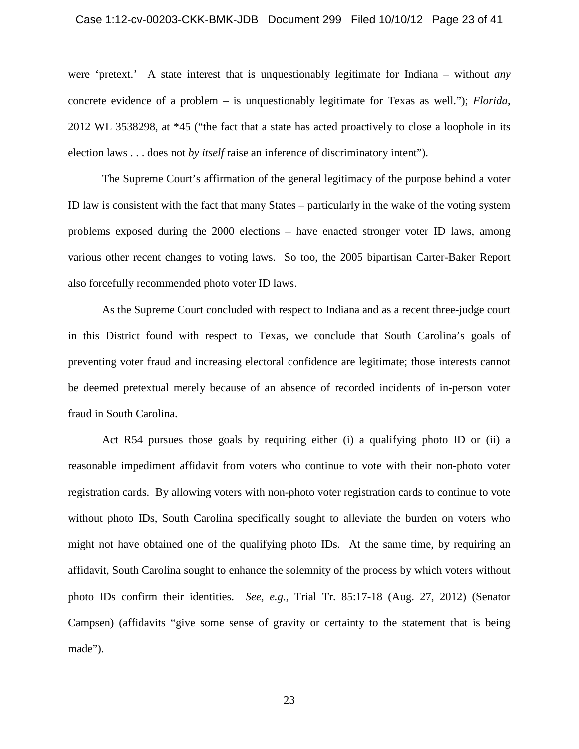# Case 1:12-cv-00203-CKK-BMK-JDB Document 299 Filed 10/10/12 Page 23 of 41

were 'pretext.' A state interest that is unquestionably legitimate for Indiana – without *any* concrete evidence of a problem – is unquestionably legitimate for Texas as well."); *Florida*, 2012 WL 3538298, at \*45 ("the fact that a state has acted proactively to close a loophole in its election laws . . . does not *by itself* raise an inference of discriminatory intent").

The Supreme Court's affirmation of the general legitimacy of the purpose behind a voter ID law is consistent with the fact that many States – particularly in the wake of the voting system problems exposed during the 2000 elections – have enacted stronger voter ID laws, among various other recent changes to voting laws. So too, the 2005 bipartisan Carter-Baker Report also forcefully recommended photo voter ID laws.

As the Supreme Court concluded with respect to Indiana and as a recent three-judge court in this District found with respect to Texas, we conclude that South Carolina's goals of preventing voter fraud and increasing electoral confidence are legitimate; those interests cannot be deemed pretextual merely because of an absence of recorded incidents of in-person voter fraud in South Carolina.

Act R54 pursues those goals by requiring either (i) a qualifying photo ID or (ii) a reasonable impediment affidavit from voters who continue to vote with their non-photo voter registration cards. By allowing voters with non-photo voter registration cards to continue to vote without photo IDs, South Carolina specifically sought to alleviate the burden on voters who might not have obtained one of the qualifying photo IDs. At the same time, by requiring an affidavit, South Carolina sought to enhance the solemnity of the process by which voters without photo IDs confirm their identities. *See, e.g.*, Trial Tr. 85:17-18 (Aug. 27, 2012) (Senator Campsen) (affidavits "give some sense of gravity or certainty to the statement that is being made").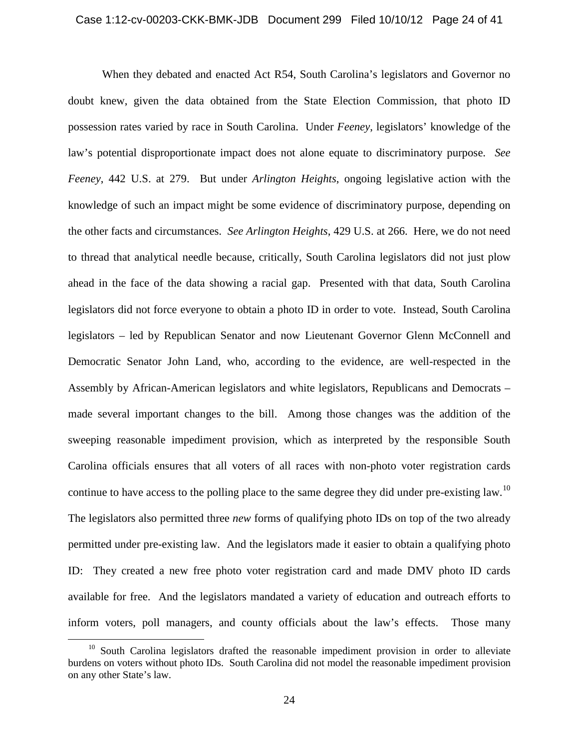When they debated and enacted Act R54, South Carolina's legislators and Governor no doubt knew, given the data obtained from the State Election Commission, that photo ID possession rates varied by race in South Carolina. Under *Feeney*, legislators' knowledge of the law's potential disproportionate impact does not alone equate to discriminatory purpose. *See Feeney*, 442 U.S. at 279. But under *Arlington Heights*, ongoing legislative action with the knowledge of such an impact might be some evidence of discriminatory purpose, depending on the other facts and circumstances. *See Arlington Heights*, 429 U.S. at 266. Here, we do not need to thread that analytical needle because, critically, South Carolina legislators did not just plow ahead in the face of the data showing a racial gap. Presented with that data, South Carolina legislators did not force everyone to obtain a photo ID in order to vote. Instead, South Carolina legislators – led by Republican Senator and now Lieutenant Governor Glenn McConnell and Democratic Senator John Land, who, according to the evidence, are well-respected in the Assembly by African-American legislators and white legislators, Republicans and Democrats – made several important changes to the bill. Among those changes was the addition of the sweeping reasonable impediment provision, which as interpreted by the responsible South Carolina officials ensures that all voters of all races with non-photo voter registration cards continue to have access to the polling place to the same degree they did under pre-existing law.<sup>10</sup> The legislators also permitted three *new* forms of qualifying photo IDs on top of the two already permitted under pre-existing law. And the legislators made it easier to obtain a qualifying photo ID: They created a new free photo voter registration card and made DMV photo ID cards available for free. And the legislators mandated a variety of education and outreach efforts to inform voters, poll managers, and county officials about the law's effects. Those many

 $10$  South Carolina legislators drafted the reasonable impediment provision in order to alleviate burdens on voters without photo IDs. South Carolina did not model the reasonable impediment provision on any other State's law.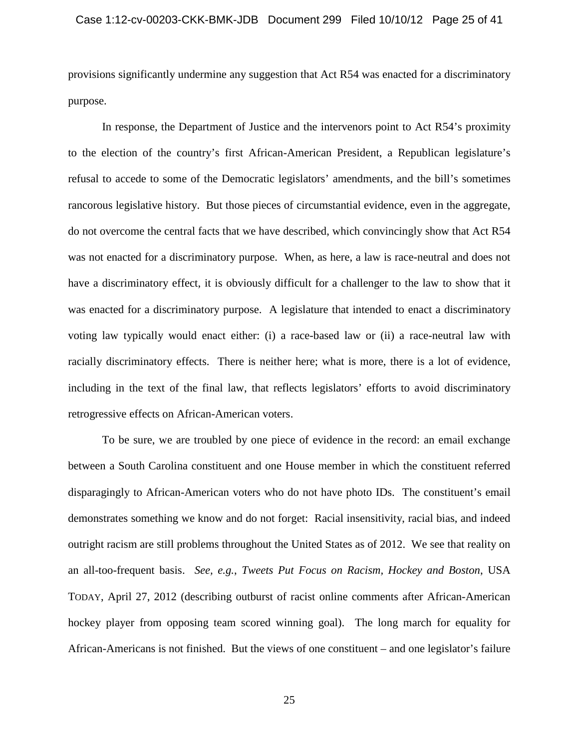# Case 1:12-cv-00203-CKK-BMK-JDB Document 299 Filed 10/10/12 Page 25 of 41

provisions significantly undermine any suggestion that Act R54 was enacted for a discriminatory purpose.

In response, the Department of Justice and the intervenors point to Act R54's proximity to the election of the country's first African-American President, a Republican legislature's refusal to accede to some of the Democratic legislators' amendments, and the bill's sometimes rancorous legislative history. But those pieces of circumstantial evidence, even in the aggregate, do not overcome the central facts that we have described, which convincingly show that Act R54 was not enacted for a discriminatory purpose. When, as here, a law is race-neutral and does not have a discriminatory effect, it is obviously difficult for a challenger to the law to show that it was enacted for a discriminatory purpose. A legislature that intended to enact a discriminatory voting law typically would enact either: (i) a race-based law or (ii) a race-neutral law with racially discriminatory effects. There is neither here; what is more, there is a lot of evidence, including in the text of the final law, that reflects legislators' efforts to avoid discriminatory retrogressive effects on African-American voters.

To be sure, we are troubled by one piece of evidence in the record: an email exchange between a South Carolina constituent and one House member in which the constituent referred disparagingly to African-American voters who do not have photo IDs. The constituent's email demonstrates something we know and do not forget: Racial insensitivity, racial bias, and indeed outright racism are still problems throughout the United States as of 2012. We see that reality on an all-too-frequent basis. *See, e.g.*, *Tweets Put Focus on Racism, Hockey and Boston*, USA TODAY, April 27, 2012 (describing outburst of racist online comments after African-American hockey player from opposing team scored winning goal). The long march for equality for African-Americans is not finished. But the views of one constituent – and one legislator's failure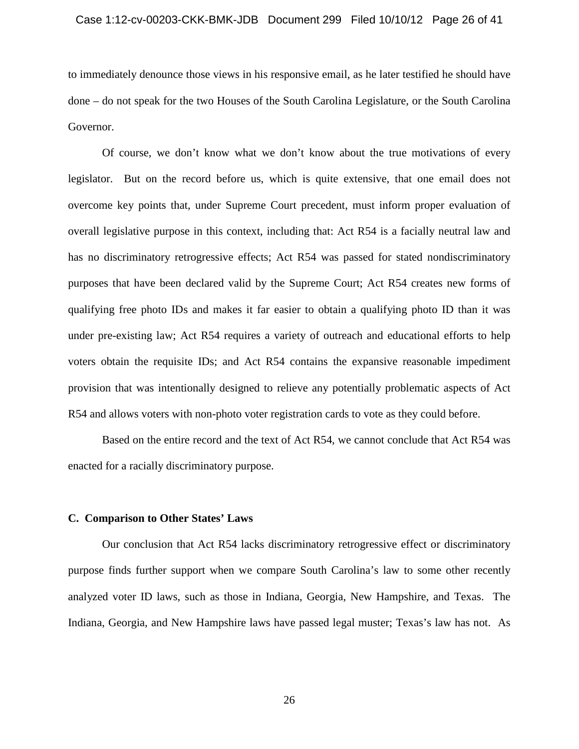# Case 1:12-cv-00203-CKK-BMK-JDB Document 299 Filed 10/10/12 Page 26 of 41

to immediately denounce those views in his responsive email, as he later testified he should have done – do not speak for the two Houses of the South Carolina Legislature, or the South Carolina Governor.

Of course, we don't know what we don't know about the true motivations of every legislator. But on the record before us, which is quite extensive, that one email does not overcome key points that, under Supreme Court precedent, must inform proper evaluation of overall legislative purpose in this context, including that: Act R54 is a facially neutral law and has no discriminatory retrogressive effects; Act R54 was passed for stated nondiscriminatory purposes that have been declared valid by the Supreme Court; Act R54 creates new forms of qualifying free photo IDs and makes it far easier to obtain a qualifying photo ID than it was under pre-existing law; Act R54 requires a variety of outreach and educational efforts to help voters obtain the requisite IDs; and Act R54 contains the expansive reasonable impediment provision that was intentionally designed to relieve any potentially problematic aspects of Act R54 and allows voters with non-photo voter registration cards to vote as they could before.

Based on the entire record and the text of Act R54, we cannot conclude that Act R54 was enacted for a racially discriminatory purpose.

#### **C. Comparison to Other States' Laws**

Our conclusion that Act R54 lacks discriminatory retrogressive effect or discriminatory purpose finds further support when we compare South Carolina's law to some other recently analyzed voter ID laws, such as those in Indiana, Georgia, New Hampshire, and Texas. The Indiana, Georgia, and New Hampshire laws have passed legal muster; Texas's law has not. As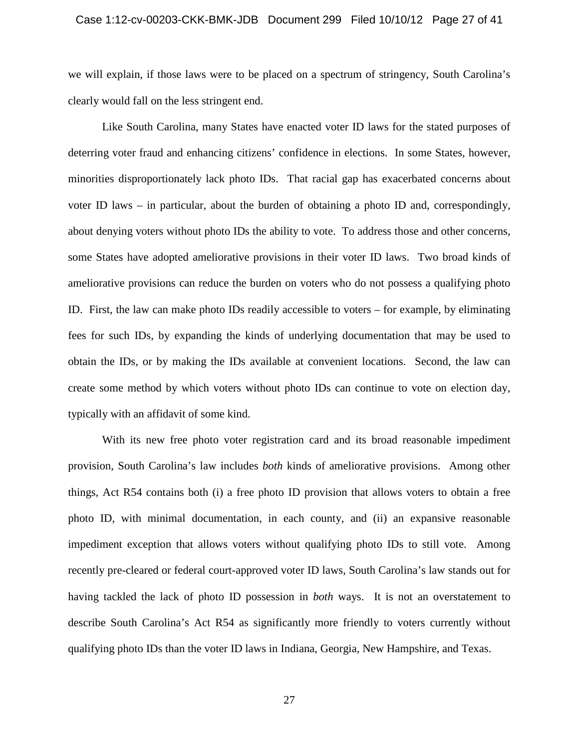# Case 1:12-cv-00203-CKK-BMK-JDB Document 299 Filed 10/10/12 Page 27 of 41

we will explain, if those laws were to be placed on a spectrum of stringency, South Carolina's clearly would fall on the less stringent end.

Like South Carolina, many States have enacted voter ID laws for the stated purposes of deterring voter fraud and enhancing citizens' confidence in elections. In some States, however, minorities disproportionately lack photo IDs. That racial gap has exacerbated concerns about voter ID laws – in particular, about the burden of obtaining a photo ID and, correspondingly, about denying voters without photo IDs the ability to vote. To address those and other concerns, some States have adopted ameliorative provisions in their voter ID laws. Two broad kinds of ameliorative provisions can reduce the burden on voters who do not possess a qualifying photo ID. First, the law can make photo IDs readily accessible to voters – for example, by eliminating fees for such IDs, by expanding the kinds of underlying documentation that may be used to obtain the IDs, or by making the IDs available at convenient locations. Second, the law can create some method by which voters without photo IDs can continue to vote on election day, typically with an affidavit of some kind.

With its new free photo voter registration card and its broad reasonable impediment provision, South Carolina's law includes *both* kinds of ameliorative provisions. Among other things, Act R54 contains both (i) a free photo ID provision that allows voters to obtain a free photo ID, with minimal documentation, in each county, and (ii) an expansive reasonable impediment exception that allows voters without qualifying photo IDs to still vote. Among recently pre-cleared or federal court-approved voter ID laws, South Carolina's law stands out for having tackled the lack of photo ID possession in *both* ways. It is not an overstatement to describe South Carolina's Act R54 as significantly more friendly to voters currently without qualifying photo IDs than the voter ID laws in Indiana, Georgia, New Hampshire, and Texas.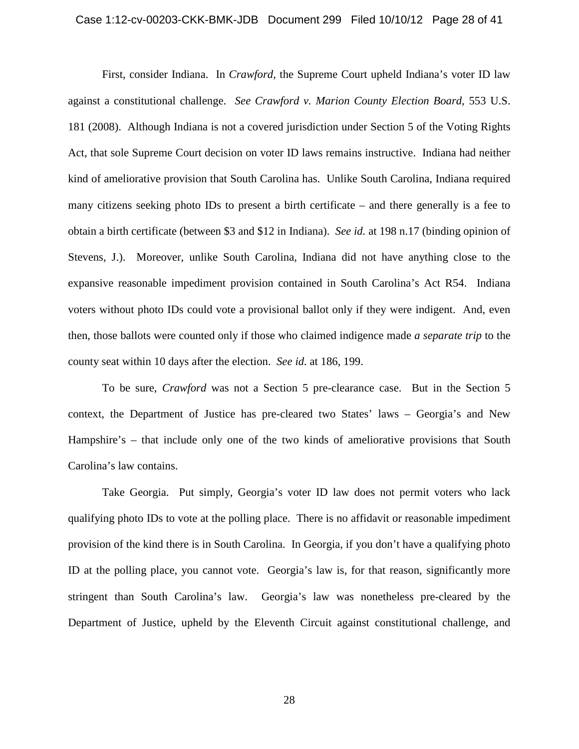# Case 1:12-cv-00203-CKK-BMK-JDB Document 299 Filed 10/10/12 Page 28 of 41

First, consider Indiana. In *Crawford*, the Supreme Court upheld Indiana's voter ID law against a constitutional challenge. *See Crawford v. Marion County Election Board*, 553 U.S. 181 (2008). Although Indiana is not a covered jurisdiction under Section 5 of the Voting Rights Act, that sole Supreme Court decision on voter ID laws remains instructive. Indiana had neither kind of ameliorative provision that South Carolina has. Unlike South Carolina, Indiana required many citizens seeking photo IDs to present a birth certificate – and there generally is a fee to obtain a birth certificate (between \$3 and \$12 in Indiana). *See id.* at 198 n.17 (binding opinion of Stevens, J.). Moreover, unlike South Carolina, Indiana did not have anything close to the expansive reasonable impediment provision contained in South Carolina's Act R54. Indiana voters without photo IDs could vote a provisional ballot only if they were indigent. And, even then, those ballots were counted only if those who claimed indigence made *a separate trip* to the county seat within 10 days after the election. *See id.* at 186, 199.

To be sure, *Crawford* was not a Section 5 pre-clearance case. But in the Section 5 context, the Department of Justice has pre-cleared two States' laws – Georgia's and New Hampshire's – that include only one of the two kinds of ameliorative provisions that South Carolina's law contains.

Take Georgia. Put simply, Georgia's voter ID law does not permit voters who lack qualifying photo IDs to vote at the polling place. There is no affidavit or reasonable impediment provision of the kind there is in South Carolina. In Georgia, if you don't have a qualifying photo ID at the polling place, you cannot vote. Georgia's law is, for that reason, significantly more stringent than South Carolina's law. Georgia's law was nonetheless pre-cleared by the Department of Justice, upheld by the Eleventh Circuit against constitutional challenge, and

28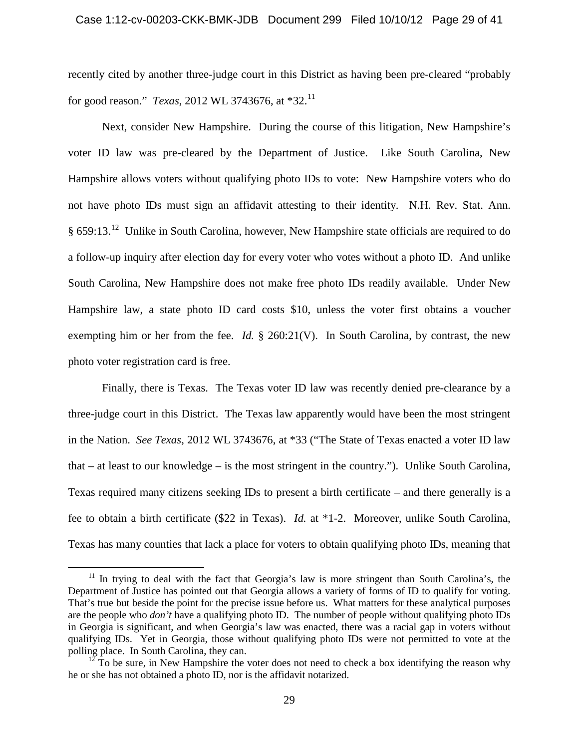recently cited by another three-judge court in this District as having been pre-cleared "probably for good reason." *Texas*, 2012 WL 3743676, at \*32.<sup>11</sup>

Next, consider New Hampshire. During the course of this litigation, New Hampshire's voter ID law was pre-cleared by the Department of Justice. Like South Carolina, New Hampshire allows voters without qualifying photo IDs to vote: New Hampshire voters who do not have photo IDs must sign an affidavit attesting to their identity. N.H. Rev. Stat. Ann. § 659:13.12 Unlike in South Carolina, however, New Hampshire state officials are required to do a follow-up inquiry after election day for every voter who votes without a photo ID. And unlike South Carolina, New Hampshire does not make free photo IDs readily available. Under New Hampshire law, a state photo ID card costs \$10, unless the voter first obtains a voucher exempting him or her from the fee. *Id.* § 260:21(V). In South Carolina, by contrast, the new photo voter registration card is free.

Finally, there is Texas. The Texas voter ID law was recently denied pre-clearance by a three-judge court in this District. The Texas law apparently would have been the most stringent in the Nation. *See Texas*, 2012 WL 3743676, at \*33 ("The State of Texas enacted a voter ID law that – at least to our knowledge – is the most stringent in the country."). Unlike South Carolina, Texas required many citizens seeking IDs to present a birth certificate – and there generally is a fee to obtain a birth certificate (\$22 in Texas). *Id.* at \*1-2. Moreover, unlike South Carolina, Texas has many counties that lack a place for voters to obtain qualifying photo IDs, meaning that

 $11$  In trying to deal with the fact that Georgia's law is more stringent than South Carolina's, the Department of Justice has pointed out that Georgia allows a variety of forms of ID to qualify for voting. That's true but beside the point for the precise issue before us. What matters for these analytical purposes are the people who *don't* have a qualifying photo ID. The number of people without qualifying photo IDs in Georgia is significant, and when Georgia's law was enacted, there was a racial gap in voters without qualifying IDs. Yet in Georgia, those without qualifying photo IDs were not permitted to vote at the polling place. In South Carolina, they can.

 $1^{\frac{1}{2}}$  To be sure, in New Hampshire the voter does not need to check a box identifying the reason why he or she has not obtained a photo ID, nor is the affidavit notarized.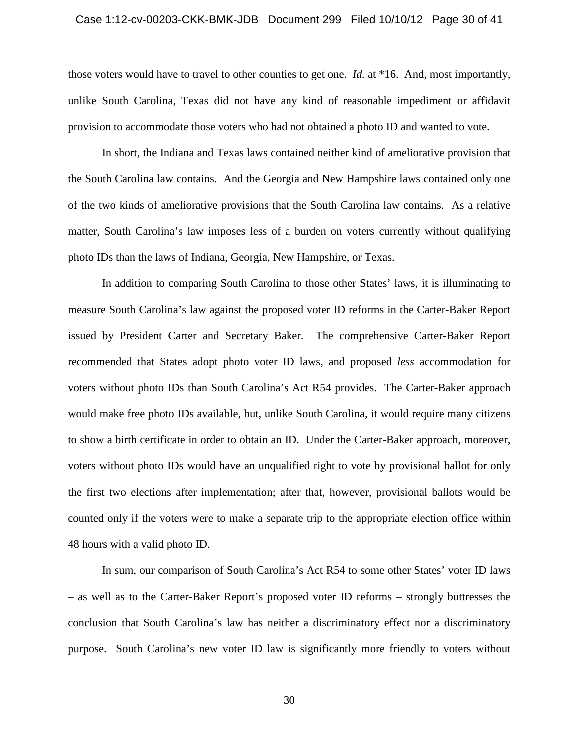# Case 1:12-cv-00203-CKK-BMK-JDB Document 299 Filed 10/10/12 Page 30 of 41

those voters would have to travel to other counties to get one. *Id.* at \*16. And, most importantly, unlike South Carolina, Texas did not have any kind of reasonable impediment or affidavit provision to accommodate those voters who had not obtained a photo ID and wanted to vote.

In short, the Indiana and Texas laws contained neither kind of ameliorative provision that the South Carolina law contains. And the Georgia and New Hampshire laws contained only one of the two kinds of ameliorative provisions that the South Carolina law contains. As a relative matter, South Carolina's law imposes less of a burden on voters currently without qualifying photo IDs than the laws of Indiana, Georgia, New Hampshire, or Texas.

In addition to comparing South Carolina to those other States' laws, it is illuminating to measure South Carolina's law against the proposed voter ID reforms in the Carter-Baker Report issued by President Carter and Secretary Baker. The comprehensive Carter-Baker Report recommended that States adopt photo voter ID laws, and proposed *less* accommodation for voters without photo IDs than South Carolina's Act R54 provides. The Carter-Baker approach would make free photo IDs available, but, unlike South Carolina, it would require many citizens to show a birth certificate in order to obtain an ID. Under the Carter-Baker approach, moreover, voters without photo IDs would have an unqualified right to vote by provisional ballot for only the first two elections after implementation; after that, however, provisional ballots would be counted only if the voters were to make a separate trip to the appropriate election office within 48 hours with a valid photo ID.

In sum, our comparison of South Carolina's Act R54 to some other States' voter ID laws – as well as to the Carter-Baker Report's proposed voter ID reforms – strongly buttresses the conclusion that South Carolina's law has neither a discriminatory effect nor a discriminatory purpose. South Carolina's new voter ID law is significantly more friendly to voters without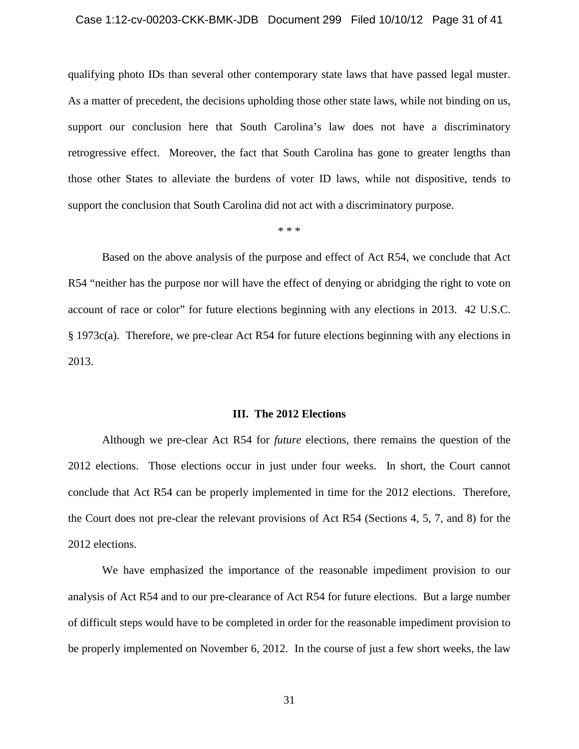# Case 1:12-cv-00203-CKK-BMK-JDB Document 299 Filed 10/10/12 Page 31 of 41

qualifying photo IDs than several other contemporary state laws that have passed legal muster. As a matter of precedent, the decisions upholding those other state laws, while not binding on us, support our conclusion here that South Carolina's law does not have a discriminatory retrogressive effect. Moreover, the fact that South Carolina has gone to greater lengths than those other States to alleviate the burdens of voter ID laws, while not dispositive, tends to support the conclusion that South Carolina did not act with a discriminatory purpose.

\* \* \*

Based on the above analysis of the purpose and effect of Act R54, we conclude that Act R54 "neither has the purpose nor will have the effect of denying or abridging the right to vote on account of race or color" for future elections beginning with any elections in 2013. 42 U.S.C. § 1973c(a). Therefore, we pre-clear Act R54 for future elections beginning with any elections in 2013.

#### **III. The 2012 Elections**

Although we pre-clear Act R54 for *future* elections, there remains the question of the 2012 elections. Those elections occur in just under four weeks. In short, the Court cannot conclude that Act R54 can be properly implemented in time for the 2012 elections. Therefore, the Court does not pre-clear the relevant provisions of Act R54 (Sections 4, 5, 7, and 8) for the 2012 elections.

We have emphasized the importance of the reasonable impediment provision to our analysis of Act R54 and to our pre-clearance of Act R54 for future elections. But a large number of difficult steps would have to be completed in order for the reasonable impediment provision to be properly implemented on November 6, 2012. In the course of just a few short weeks, the law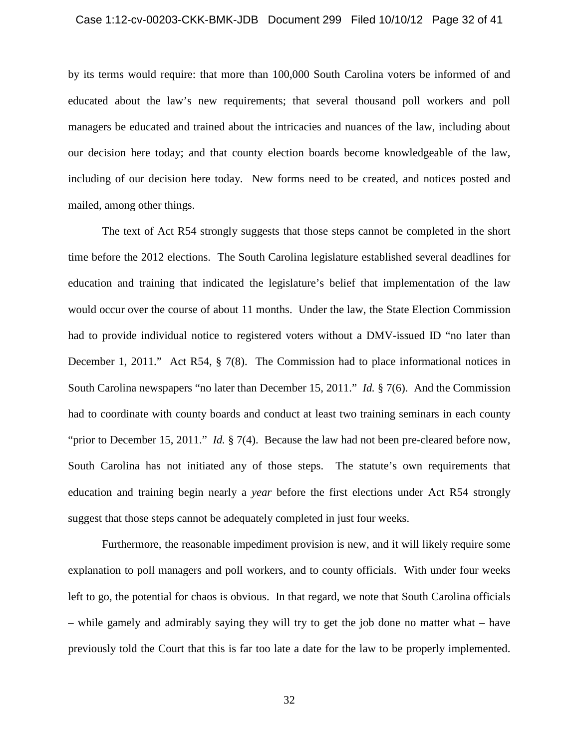# Case 1:12-cv-00203-CKK-BMK-JDB Document 299 Filed 10/10/12 Page 32 of 41

by its terms would require: that more than 100,000 South Carolina voters be informed of and educated about the law's new requirements; that several thousand poll workers and poll managers be educated and trained about the intricacies and nuances of the law, including about our decision here today; and that county election boards become knowledgeable of the law, including of our decision here today. New forms need to be created, and notices posted and mailed, among other things.

The text of Act R54 strongly suggests that those steps cannot be completed in the short time before the 2012 elections. The South Carolina legislature established several deadlines for education and training that indicated the legislature's belief that implementation of the law would occur over the course of about 11 months. Under the law, the State Election Commission had to provide individual notice to registered voters without a DMV-issued ID "no later than December 1, 2011." Act R54, § 7(8). The Commission had to place informational notices in South Carolina newspapers "no later than December 15, 2011." *Id.* § 7(6). And the Commission had to coordinate with county boards and conduct at least two training seminars in each county "prior to December 15, 2011." *Id.* § 7(4). Because the law had not been pre-cleared before now, South Carolina has not initiated any of those steps. The statute's own requirements that education and training begin nearly a *year* before the first elections under Act R54 strongly suggest that those steps cannot be adequately completed in just four weeks.

Furthermore, the reasonable impediment provision is new, and it will likely require some explanation to poll managers and poll workers, and to county officials. With under four weeks left to go, the potential for chaos is obvious. In that regard, we note that South Carolina officials – while gamely and admirably saying they will try to get the job done no matter what – have previously told the Court that this is far too late a date for the law to be properly implemented.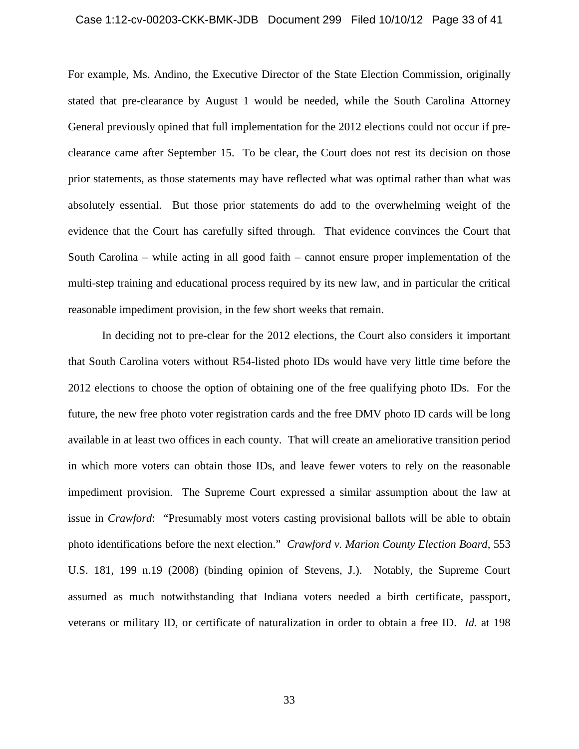#### Case 1:12-cv-00203-CKK-BMK-JDB Document 299 Filed 10/10/12 Page 33 of 41

For example, Ms. Andino, the Executive Director of the State Election Commission, originally stated that pre-clearance by August 1 would be needed, while the South Carolina Attorney General previously opined that full implementation for the 2012 elections could not occur if preclearance came after September 15. To be clear, the Court does not rest its decision on those prior statements, as those statements may have reflected what was optimal rather than what was absolutely essential. But those prior statements do add to the overwhelming weight of the evidence that the Court has carefully sifted through. That evidence convinces the Court that South Carolina – while acting in all good faith – cannot ensure proper implementation of the multi-step training and educational process required by its new law, and in particular the critical reasonable impediment provision, in the few short weeks that remain.

In deciding not to pre-clear for the 2012 elections, the Court also considers it important that South Carolina voters without R54-listed photo IDs would have very little time before the 2012 elections to choose the option of obtaining one of the free qualifying photo IDs. For the future, the new free photo voter registration cards and the free DMV photo ID cards will be long available in at least two offices in each county. That will create an ameliorative transition period in which more voters can obtain those IDs, and leave fewer voters to rely on the reasonable impediment provision. The Supreme Court expressed a similar assumption about the law at issue in *Crawford*: "Presumably most voters casting provisional ballots will be able to obtain photo identifications before the next election." *Crawford v. Marion County Election Board*, 553 U.S. 181, 199 n.19 (2008) (binding opinion of Stevens, J.). Notably, the Supreme Court assumed as much notwithstanding that Indiana voters needed a birth certificate, passport, veterans or military ID, or certificate of naturalization in order to obtain a free ID. *Id.* at 198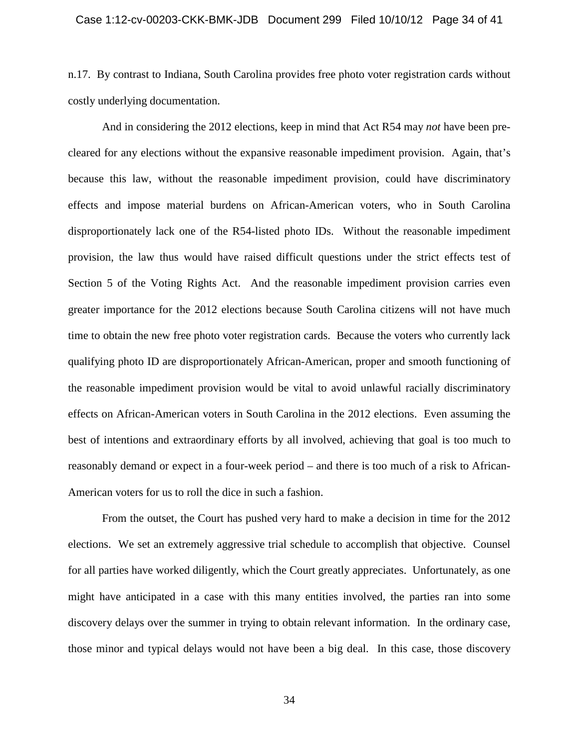n.17. By contrast to Indiana, South Carolina provides free photo voter registration cards without costly underlying documentation.

And in considering the 2012 elections, keep in mind that Act R54 may *not* have been precleared for any elections without the expansive reasonable impediment provision. Again, that's because this law, without the reasonable impediment provision, could have discriminatory effects and impose material burdens on African-American voters, who in South Carolina disproportionately lack one of the R54-listed photo IDs. Without the reasonable impediment provision, the law thus would have raised difficult questions under the strict effects test of Section 5 of the Voting Rights Act. And the reasonable impediment provision carries even greater importance for the 2012 elections because South Carolina citizens will not have much time to obtain the new free photo voter registration cards. Because the voters who currently lack qualifying photo ID are disproportionately African-American, proper and smooth functioning of the reasonable impediment provision would be vital to avoid unlawful racially discriminatory effects on African-American voters in South Carolina in the 2012 elections. Even assuming the best of intentions and extraordinary efforts by all involved, achieving that goal is too much to reasonably demand or expect in a four-week period – and there is too much of a risk to African-American voters for us to roll the dice in such a fashion.

From the outset, the Court has pushed very hard to make a decision in time for the 2012 elections. We set an extremely aggressive trial schedule to accomplish that objective. Counsel for all parties have worked diligently, which the Court greatly appreciates. Unfortunately, as one might have anticipated in a case with this many entities involved, the parties ran into some discovery delays over the summer in trying to obtain relevant information. In the ordinary case, those minor and typical delays would not have been a big deal. In this case, those discovery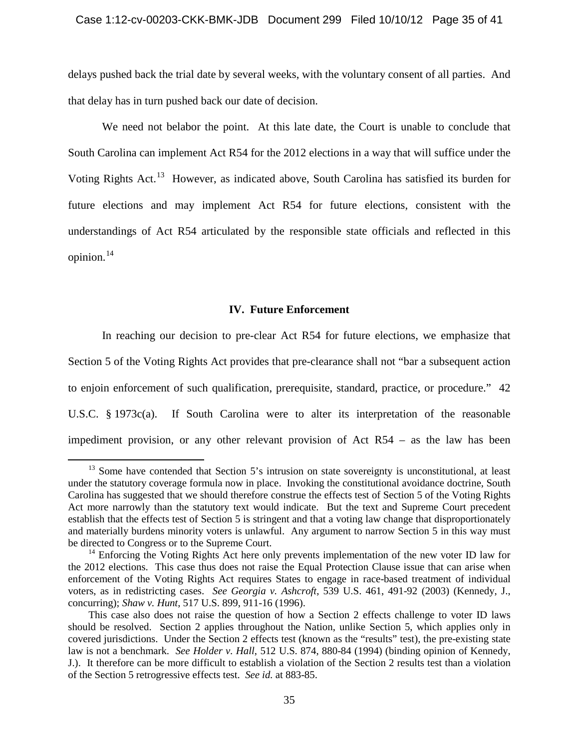delays pushed back the trial date by several weeks, with the voluntary consent of all parties. And that delay has in turn pushed back our date of decision.

We need not belabor the point. At this late date, the Court is unable to conclude that South Carolina can implement Act R54 for the 2012 elections in a way that will suffice under the Voting Rights Act.<sup>13</sup> However, as indicated above, South Carolina has satisfied its burden for future elections and may implement Act R54 for future elections, consistent with the understandings of Act R54 articulated by the responsible state officials and reflected in this opinion. $14$ 

# **IV. Future Enforcement**

In reaching our decision to pre-clear Act R54 for future elections, we emphasize that Section 5 of the Voting Rights Act provides that pre-clearance shall not "bar a subsequent action to enjoin enforcement of such qualification, prerequisite, standard, practice, or procedure." 42 U.S.C. § 1973c(a). If South Carolina were to alter its interpretation of the reasonable impediment provision, or any other relevant provision of Act R54 – as the law has been

 $13$  Some have contended that Section 5's intrusion on state sovereignty is unconstitutional, at least under the statutory coverage formula now in place. Invoking the constitutional avoidance doctrine, South Carolina has suggested that we should therefore construe the effects test of Section 5 of the Voting Rights Act more narrowly than the statutory text would indicate. But the text and Supreme Court precedent establish that the effects test of Section 5 is stringent and that a voting law change that disproportionately and materially burdens minority voters is unlawful. Any argument to narrow Section 5 in this way must be directed to Congress or to the Supreme Court.

<sup>&</sup>lt;sup>14</sup> Enforcing the Voting Rights Act here only prevents implementation of the new voter ID law for the 2012 elections. This case thus does not raise the Equal Protection Clause issue that can arise when enforcement of the Voting Rights Act requires States to engage in race-based treatment of individual voters, as in redistricting cases. *See Georgia v. Ashcroft*, 539 U.S. 461, 491-92 (2003) (Kennedy, J., concurring); *Shaw v. Hunt*, 517 U.S. 899, 911-16 (1996).

This case also does not raise the question of how a Section 2 effects challenge to voter ID laws should be resolved. Section 2 applies throughout the Nation, unlike Section 5, which applies only in covered jurisdictions. Under the Section 2 effects test (known as the "results" test), the pre-existing state law is not a benchmark. *See Holder v. Hall*, 512 U.S. 874, 880-84 (1994) (binding opinion of Kennedy, J.). It therefore can be more difficult to establish a violation of the Section 2 results test than a violation of the Section 5 retrogressive effects test. *See id.* at 883-85.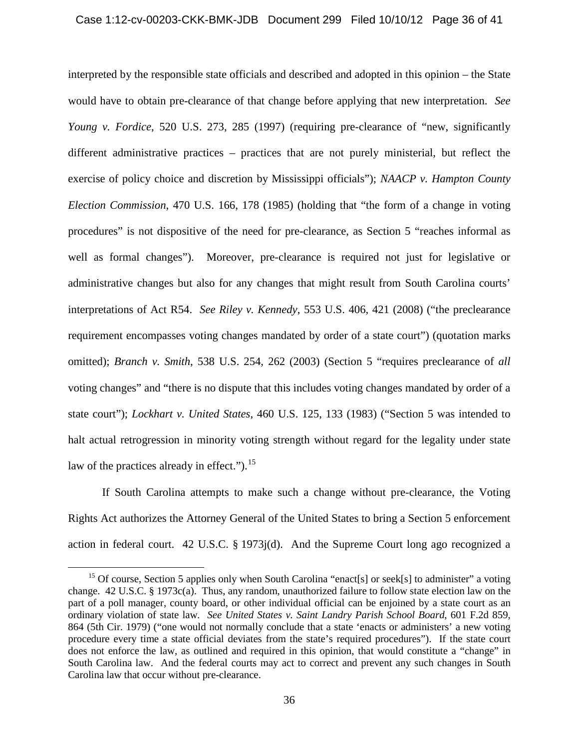interpreted by the responsible state officials and described and adopted in this opinion – the State would have to obtain pre-clearance of that change before applying that new interpretation. *See Young v. Fordice*, 520 U.S. 273, 285 (1997) (requiring pre-clearance of "new, significantly different administrative practices – practices that are not purely ministerial, but reflect the exercise of policy choice and discretion by Mississippi officials"); *NAACP v. Hampton County Election Commission*, 470 U.S. 166, 178 (1985) (holding that "the form of a change in voting procedures" is not dispositive of the need for pre-clearance, as Section 5 "reaches informal as well as formal changes"). Moreover, pre-clearance is required not just for legislative or administrative changes but also for any changes that might result from South Carolina courts' interpretations of Act R54. *See Riley v. Kennedy*, 553 U.S. 406, 421 (2008) ("the preclearance requirement encompasses voting changes mandated by order of a state court") (quotation marks omitted); *Branch v. Smith*, 538 U.S. 254, 262 (2003) (Section 5 "requires preclearance of *all* voting changes" and "there is no dispute that this includes voting changes mandated by order of a state court"); *Lockhart v. United States*, 460 U.S. 125, 133 (1983) ("Section 5 was intended to halt actual retrogression in minority voting strength without regard for the legality under state law of the practices already in effect." $b^{15}$ .

If South Carolina attempts to make such a change without pre-clearance, the Voting Rights Act authorizes the Attorney General of the United States to bring a Section 5 enforcement action in federal court. 42 U.S.C. § 1973j(d). And the Supreme Court long ago recognized a

<sup>&</sup>lt;sup>15</sup> Of course, Section 5 applies only when South Carolina "enact[s] or seek[s] to administer" a voting change. 42 U.S.C. § 1973c(a). Thus, any random, unauthorized failure to follow state election law on the part of a poll manager, county board, or other individual official can be enjoined by a state court as an ordinary violation of state law*. See United States v. Saint Landry Parish School Board*, 601 F.2d 859, 864 (5th Cir. 1979) ("one would not normally conclude that a state 'enacts or administers' a new voting procedure every time a state official deviates from the state's required procedures"). If the state court does not enforce the law, as outlined and required in this opinion, that would constitute a "change" in South Carolina law. And the federal courts may act to correct and prevent any such changes in South Carolina law that occur without pre-clearance.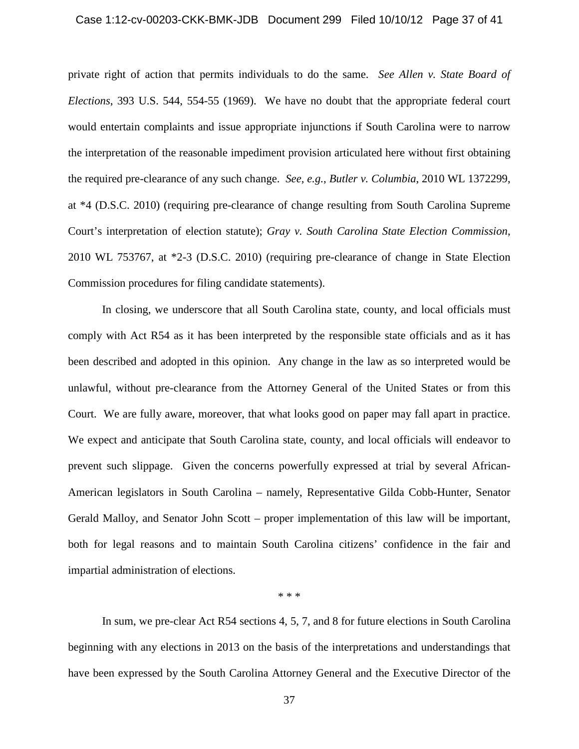# Case 1:12-cv-00203-CKK-BMK-JDB Document 299 Filed 10/10/12 Page 37 of 41

private right of action that permits individuals to do the same. *See Allen v. State Board of Elections*, 393 U.S. 544, 554-55 (1969). We have no doubt that the appropriate federal court would entertain complaints and issue appropriate injunctions if South Carolina were to narrow the interpretation of the reasonable impediment provision articulated here without first obtaining the required pre-clearance of any such change. *See, e.g.*, *Butler v. Columbia*, 2010 WL 1372299, at \*4 (D.S.C. 2010) (requiring pre-clearance of change resulting from South Carolina Supreme Court's interpretation of election statute); *Gray v. South Carolina State Election Commission*, 2010 WL 753767, at \*2-3 (D.S.C. 2010) (requiring pre-clearance of change in State Election Commission procedures for filing candidate statements).

In closing, we underscore that all South Carolina state, county, and local officials must comply with Act R54 as it has been interpreted by the responsible state officials and as it has been described and adopted in this opinion. Any change in the law as so interpreted would be unlawful, without pre-clearance from the Attorney General of the United States or from this Court. We are fully aware, moreover, that what looks good on paper may fall apart in practice. We expect and anticipate that South Carolina state, county, and local officials will endeavor to prevent such slippage. Given the concerns powerfully expressed at trial by several African-American legislators in South Carolina – namely, Representative Gilda Cobb-Hunter, Senator Gerald Malloy, and Senator John Scott – proper implementation of this law will be important, both for legal reasons and to maintain South Carolina citizens' confidence in the fair and impartial administration of elections.

\* \* \*

In sum, we pre-clear Act R54 sections 4, 5, 7, and 8 for future elections in South Carolina beginning with any elections in 2013 on the basis of the interpretations and understandings that have been expressed by the South Carolina Attorney General and the Executive Director of the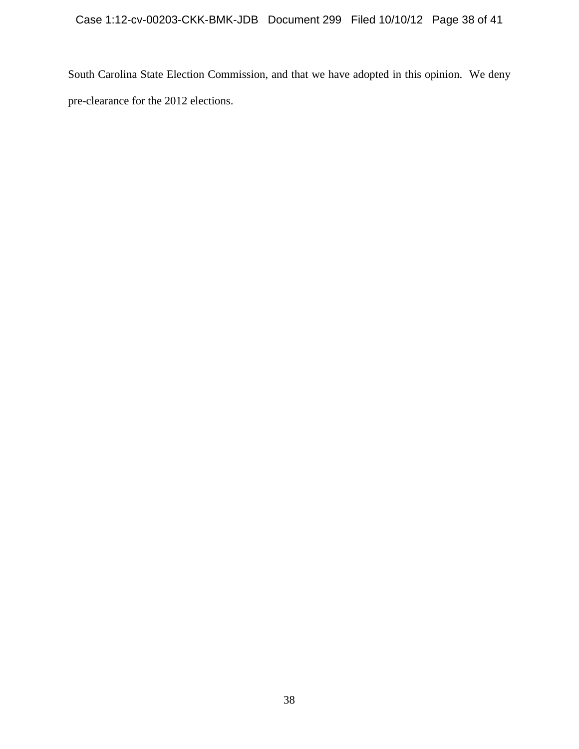South Carolina State Election Commission, and that we have adopted in this opinion. We deny pre-clearance for the 2012 elections.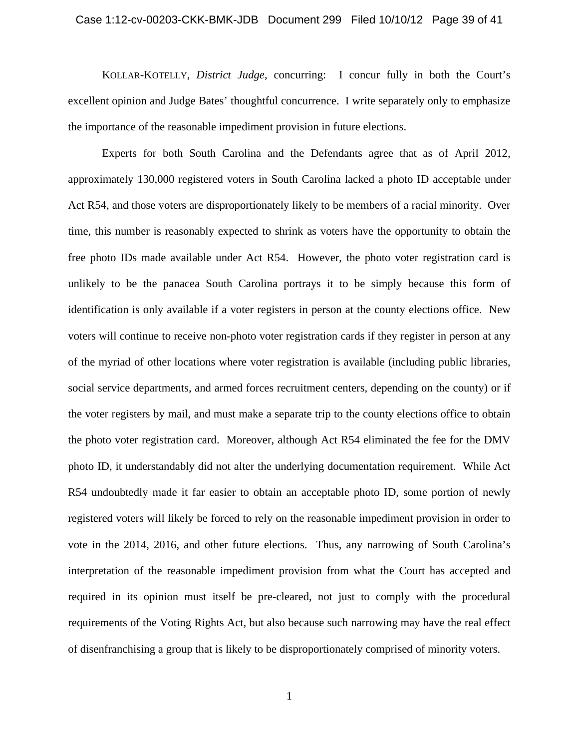# Case 1:12-cv-00203-CKK-BMK-JDB Document 299 Filed 10/10/12 Page 39 of 41

KOLLAR-KOTELLY, *District Judge*, concurring: I concur fully in both the Court's excellent opinion and Judge Bates' thoughtful concurrence. I write separately only to emphasize the importance of the reasonable impediment provision in future elections.

Experts for both South Carolina and the Defendants agree that as of April 2012, approximately 130,000 registered voters in South Carolina lacked a photo ID acceptable under Act R54, and those voters are disproportionately likely to be members of a racial minority. Over time, this number is reasonably expected to shrink as voters have the opportunity to obtain the free photo IDs made available under Act R54. However, the photo voter registration card is unlikely to be the panacea South Carolina portrays it to be simply because this form of identification is only available if a voter registers in person at the county elections office. New voters will continue to receive non-photo voter registration cards if they register in person at any of the myriad of other locations where voter registration is available (including public libraries, social service departments, and armed forces recruitment centers, depending on the county) or if the voter registers by mail, and must make a separate trip to the county elections office to obtain the photo voter registration card. Moreover, although Act R54 eliminated the fee for the DMV photo ID, it understandably did not alter the underlying documentation requirement. While Act R54 undoubtedly made it far easier to obtain an acceptable photo ID, some portion of newly registered voters will likely be forced to rely on the reasonable impediment provision in order to vote in the 2014, 2016, and other future elections. Thus, any narrowing of South Carolina's interpretation of the reasonable impediment provision from what the Court has accepted and required in its opinion must itself be pre-cleared, not just to comply with the procedural requirements of the Voting Rights Act, but also because such narrowing may have the real effect of disenfranchising a group that is likely to be disproportionately comprised of minority voters.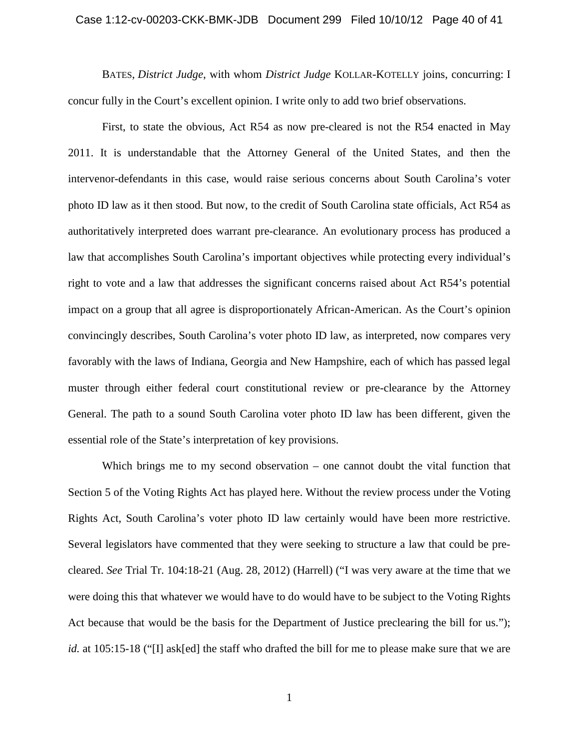# Case 1:12-cv-00203-CKK-BMK-JDB Document 299 Filed 10/10/12 Page 40 of 41

 BATES, *District Judge*, with whom *District Judge* KOLLAR-KOTELLY joins, concurring: I concur fully in the Court's excellent opinion. I write only to add two brief observations.

First, to state the obvious, Act R54 as now pre-cleared is not the R54 enacted in May 2011. It is understandable that the Attorney General of the United States, and then the intervenor-defendants in this case, would raise serious concerns about South Carolina's voter photo ID law as it then stood. But now, to the credit of South Carolina state officials, Act R54 as authoritatively interpreted does warrant pre-clearance. An evolutionary process has produced a law that accomplishes South Carolina's important objectives while protecting every individual's right to vote and a law that addresses the significant concerns raised about Act R54's potential impact on a group that all agree is disproportionately African-American. As the Court's opinion convincingly describes, South Carolina's voter photo ID law, as interpreted, now compares very favorably with the laws of Indiana, Georgia and New Hampshire, each of which has passed legal muster through either federal court constitutional review or pre-clearance by the Attorney General. The path to a sound South Carolina voter photo ID law has been different, given the essential role of the State's interpretation of key provisions.

Which brings me to my second observation – one cannot doubt the vital function that Section 5 of the Voting Rights Act has played here. Without the review process under the Voting Rights Act, South Carolina's voter photo ID law certainly would have been more restrictive. Several legislators have commented that they were seeking to structure a law that could be precleared. *See* Trial Tr. 104:18-21 (Aug. 28, 2012) (Harrell) ("I was very aware at the time that we were doing this that whatever we would have to do would have to be subject to the Voting Rights Act because that would be the basis for the Department of Justice preclearing the bill for us."); *id.* at 105:15-18 ("[I] ask[ed] the staff who drafted the bill for me to please make sure that we are